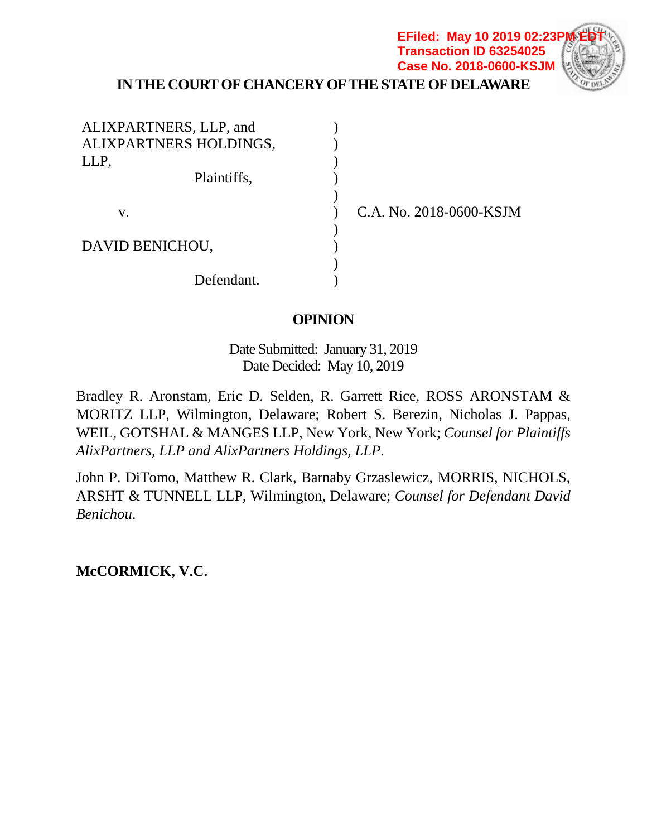### **IN THE COURT OF CHANCERY OF THE STATE OF DELAWARE EFiled: May 10 2019 02:23P Transaction ID 63254025 Case No. 2018-0600-KSJM**

| ALIXPARTNERS, LLP, and |  |
|------------------------|--|
| ALIXPARTNERS HOLDINGS, |  |
| LLP,                   |  |
| Plaintiffs,            |  |
|                        |  |
| V.                     |  |
|                        |  |
| DAVID BENICHOU,        |  |
|                        |  |
| Defendant.             |  |

C.A. No. 2018-0600-KSJM

## **OPINION**

Date Submitted: January 31, 2019 Date Decided: May 10, 2019

Bradley R. Aronstam, Eric D. Selden, R. Garrett Rice, ROSS ARONSTAM & MORITZ LLP, Wilmington, Delaware; Robert S. Berezin, Nicholas J. Pappas, WEIL, GOTSHAL & MANGES LLP, New York, New York; *Counsel for Plaintiffs AlixPartners, LLP and AlixPartners Holdings, LLP*.

John P. DiTomo, Matthew R. Clark, Barnaby Grzaslewicz, MORRIS, NICHOLS, ARSHT & TUNNELL LLP, Wilmington, Delaware; *Counsel for Defendant David Benichou*.

**McCORMICK, V.C.**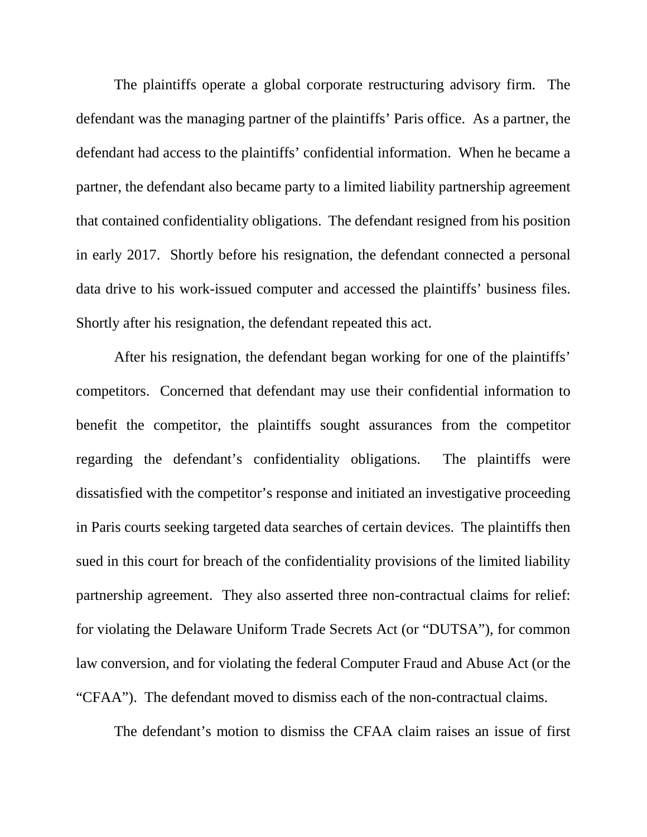The plaintiffs operate a global corporate restructuring advisory firm. The defendant was the managing partner of the plaintiffs' Paris office. As a partner, the defendant had access to the plaintiffs' confidential information. When he became a partner, the defendant also became party to a limited liability partnership agreement that contained confidentiality obligations. The defendant resigned from his position in early 2017. Shortly before his resignation, the defendant connected a personal data drive to his work-issued computer and accessed the plaintiffs' business files. Shortly after his resignation, the defendant repeated this act.

After his resignation, the defendant began working for one of the plaintiffs' competitors. Concerned that defendant may use their confidential information to benefit the competitor, the plaintiffs sought assurances from the competitor regarding the defendant's confidentiality obligations. The plaintiffs were dissatisfied with the competitor's response and initiated an investigative proceeding in Paris courts seeking targeted data searches of certain devices. The plaintiffs then sued in this court for breach of the confidentiality provisions of the limited liability partnership agreement. They also asserted three non-contractual claims for relief: for violating the Delaware Uniform Trade Secrets Act (or "DUTSA"), for common law conversion, and for violating the federal Computer Fraud and Abuse Act (or the "CFAA"). The defendant moved to dismiss each of the non-contractual claims.

The defendant's motion to dismiss the CFAA claim raises an issue of first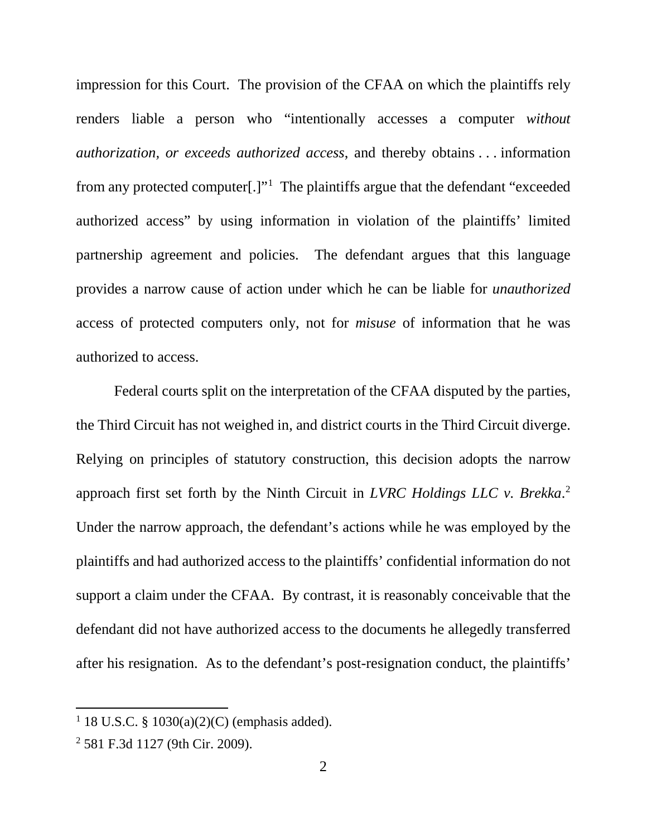impression for this Court. The provision of the CFAA on which the plaintiffs rely renders liable a person who "intentionally accesses a computer *without authorization, or exceeds authorized access*, and thereby obtains . . . information from any protected computer[.]"<sup>1</sup> The plaintiffs argue that the defendant "exceeded authorized access" by using information in violation of the plaintiffs' limited partnership agreement and policies. The defendant argues that this language provides a narrow cause of action under which he can be liable for *unauthorized* access of protected computers only, not for *misuse* of information that he was authorized to access.

Federal courts split on the interpretation of the CFAA disputed by the parties, the Third Circuit has not weighed in, and district courts in the Third Circuit diverge. Relying on principles of statutory construction, this decision adopts the narrow approach first set forth by the Ninth Circuit in *LVRC Holdings LLC v. Brekka*. 2 Under the narrow approach, the defendant's actions while he was employed by the plaintiffs and had authorized access to the plaintiffs' confidential information do not support a claim under the CFAA. By contrast, it is reasonably conceivable that the defendant did not have authorized access to the documents he allegedly transferred after his resignation. As to the defendant's post-resignation conduct, the plaintiffs'

<sup>&</sup>lt;sup>1</sup> 18 U.S.C. § 1030(a)(2)(C) (emphasis added).

<sup>2</sup> 581 F.3d 1127 (9th Cir. 2009).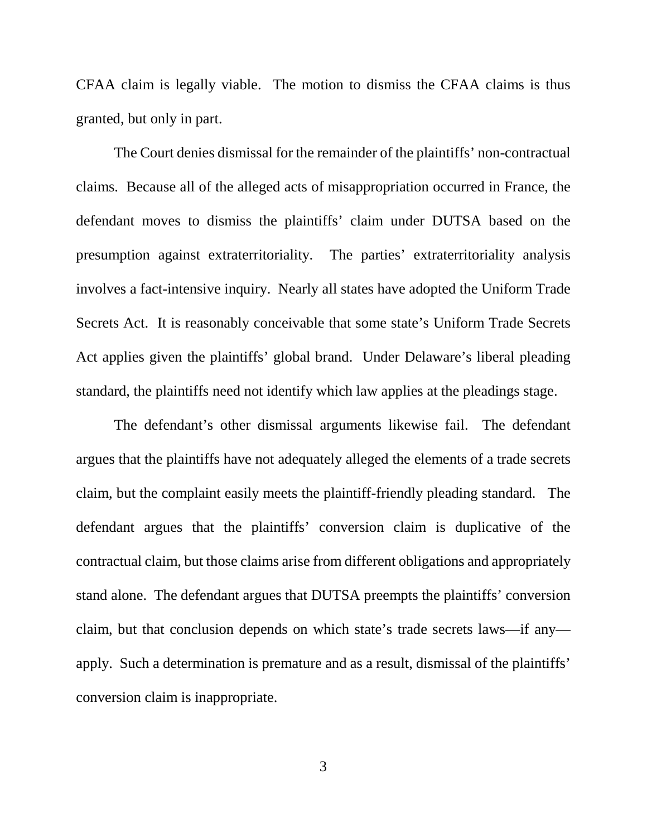CFAA claim is legally viable. The motion to dismiss the CFAA claims is thus granted, but only in part.

The Court denies dismissal for the remainder of the plaintiffs' non-contractual claims. Because all of the alleged acts of misappropriation occurred in France, the defendant moves to dismiss the plaintiffs' claim under DUTSA based on the presumption against extraterritoriality. The parties' extraterritoriality analysis involves a fact-intensive inquiry. Nearly all states have adopted the Uniform Trade Secrets Act. It is reasonably conceivable that some state's Uniform Trade Secrets Act applies given the plaintiffs' global brand. Under Delaware's liberal pleading standard, the plaintiffs need not identify which law applies at the pleadings stage.

The defendant's other dismissal arguments likewise fail. The defendant argues that the plaintiffs have not adequately alleged the elements of a trade secrets claim, but the complaint easily meets the plaintiff-friendly pleading standard. The defendant argues that the plaintiffs' conversion claim is duplicative of the contractual claim, but those claims arise from different obligations and appropriately stand alone. The defendant argues that DUTSA preempts the plaintiffs' conversion claim, but that conclusion depends on which state's trade secrets laws—if any apply. Such a determination is premature and as a result, dismissal of the plaintiffs' conversion claim is inappropriate.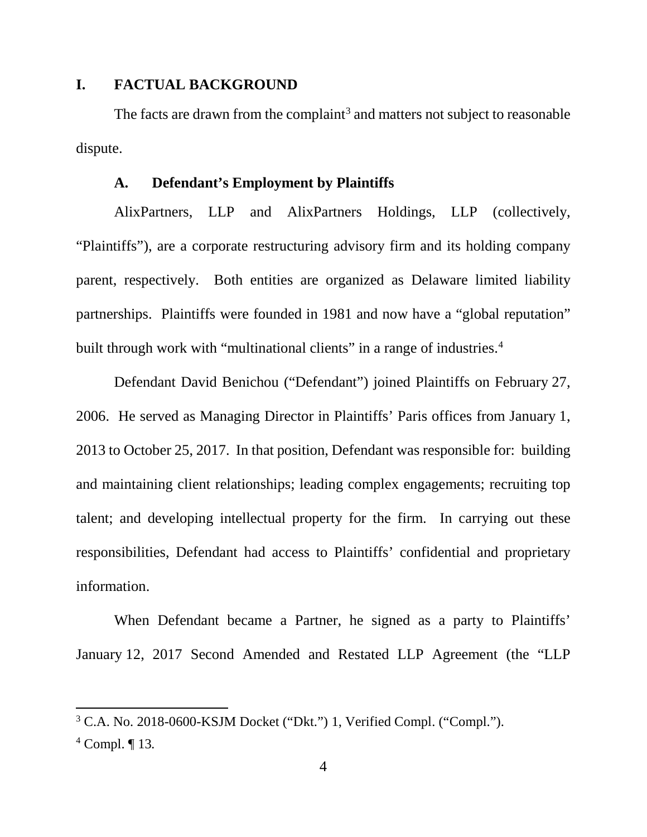### **I. FACTUAL BACKGROUND**

The facts are drawn from the complaint<sup>3</sup> and matters not subject to reasonable dispute.

#### **A. Defendant's Employment by Plaintiffs**

AlixPartners, LLP and AlixPartners Holdings, LLP (collectively, "Plaintiffs"), are a corporate restructuring advisory firm and its holding company parent, respectively. Both entities are organized as Delaware limited liability partnerships. Plaintiffs were founded in 1981 and now have a "global reputation" built through work with "multinational clients" in a range of industries.<sup>4</sup>

Defendant David Benichou ("Defendant") joined Plaintiffs on February 27, 2006. He served as Managing Director in Plaintiffs' Paris offices from January 1, 2013 to October 25, 2017. In that position, Defendant was responsible for: building and maintaining client relationships; leading complex engagements; recruiting top talent; and developing intellectual property for the firm. In carrying out these responsibilities, Defendant had access to Plaintiffs' confidential and proprietary information.

When Defendant became a Partner, he signed as a party to Plaintiffs' January 12, 2017 Second Amended and Restated LLP Agreement (the "LLP

<sup>3</sup> C.A. No. 2018-0600-KSJM Docket ("Dkt.") 1, Verified Compl. ("Compl.").

<sup>4</sup> Compl. ¶ 13*.*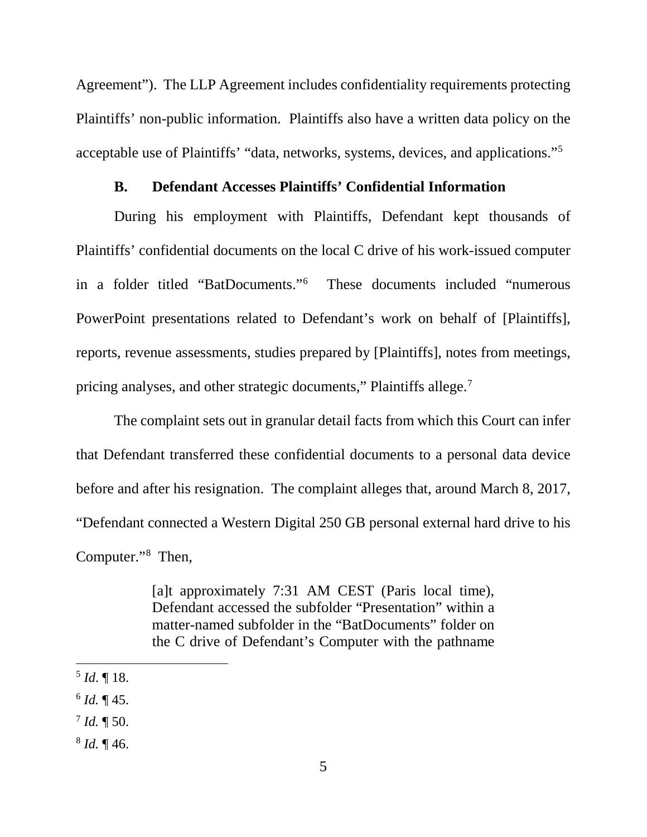Agreement"). The LLP Agreement includes confidentiality requirements protecting Plaintiffs' non-public information. Plaintiffs also have a written data policy on the acceptable use of Plaintiffs' "data, networks, systems, devices, and applications."5

### **B. Defendant Accesses Plaintiffs' Confidential Information**

During his employment with Plaintiffs, Defendant kept thousands of Plaintiffs' confidential documents on the local C drive of his work-issued computer in a folder titled "BatDocuments."6 These documents included "numerous PowerPoint presentations related to Defendant's work on behalf of [Plaintiffs], reports, revenue assessments, studies prepared by [Plaintiffs], notes from meetings, pricing analyses, and other strategic documents," Plaintiffs allege.<sup>7</sup>

The complaint sets out in granular detail facts from which this Court can infer that Defendant transferred these confidential documents to a personal data device before and after his resignation. The complaint alleges that, around March 8, 2017, "Defendant connected a Western Digital 250 GB personal external hard drive to his Computer."8 Then,

> [a]t approximately 7:31 AM CEST (Paris local time), Defendant accessed the subfolder "Presentation" within a matter-named subfolder in the "BatDocuments" folder on the C drive of Defendant's Computer with the pathname

l

 $6$  *Id.* ¶ 45.

<sup>8</sup> *Id.* ¶ 46.

<sup>5</sup> *Id*. ¶ 18.

 $^{7}$  *Id.* ¶ 50.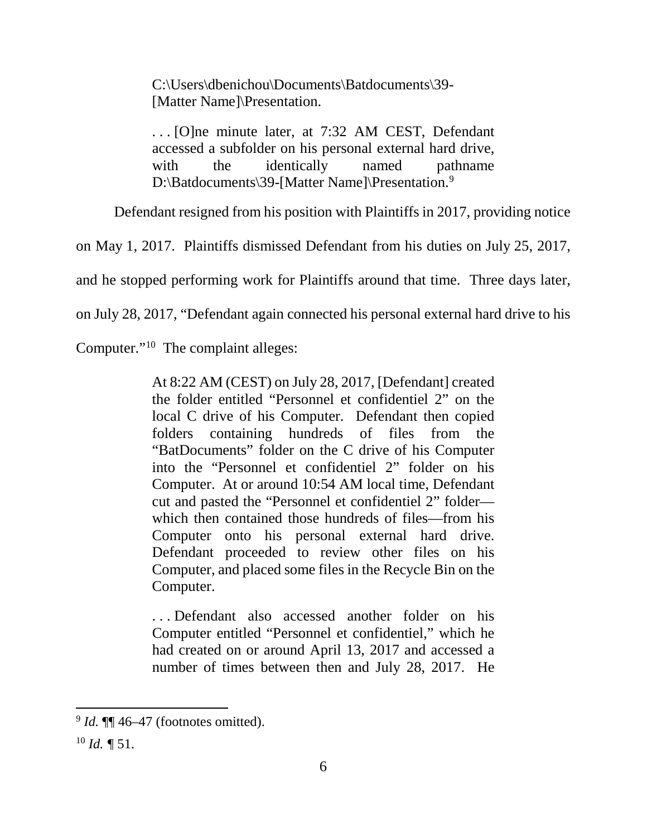C:\Users\dbenichou\Documents\Batdocuments\39- [Matter Name]\Presentation.

. . . [O]ne minute later, at 7:32 AM CEST, Defendant accessed a subfolder on his personal external hard drive, with the identically named pathname D:\Batdocuments\39-[Matter Name]\Presentation.<sup>9</sup>

Defendant resigned from his position with Plaintiffs in 2017, providing notice

on May 1, 2017. Plaintiffs dismissed Defendant from his duties on July 25, 2017,

and he stopped performing work for Plaintiffs around that time. Three days later,

on July 28, 2017, "Defendant again connected his personal external hard drive to his

Computer."10 The complaint alleges:

At 8:22 AM (CEST) on July 28, 2017, [Defendant] created the folder entitled "Personnel et confidentiel 2" on the local C drive of his Computer. Defendant then copied folders containing hundreds of files from the "BatDocuments" folder on the C drive of his Computer into the "Personnel et confidentiel 2" folder on his Computer. At or around 10:54 AM local time, Defendant cut and pasted the "Personnel et confidentiel 2" folder which then contained those hundreds of files—from his Computer onto his personal external hard drive. Defendant proceeded to review other files on his Computer, and placed some files in the Recycle Bin on the Computer.

. . . Defendant also accessed another folder on his Computer entitled "Personnel et confidentiel," which he had created on or around April 13, 2017 and accessed a number of times between then and July 28, 2017. He

 $9$  *Id.*  $\P$  46–47 (footnotes omitted).

 $^{10}$  *Id.*  $\sqrt{\ }$  51.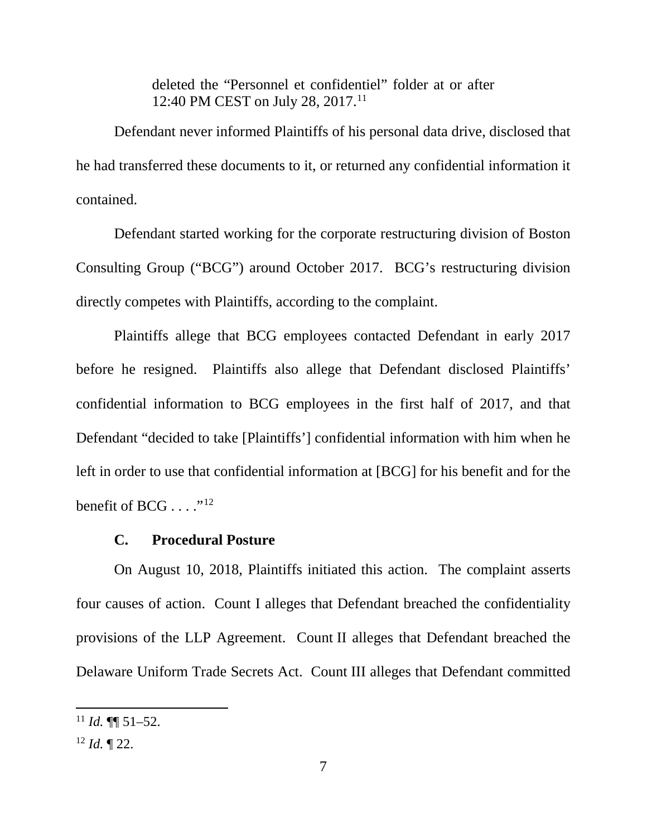deleted the "Personnel et confidentiel" folder at or after 12:40 PM CEST on July 28, 2017.<sup>11</sup>

Defendant never informed Plaintiffs of his personal data drive, disclosed that he had transferred these documents to it, or returned any confidential information it contained.

Defendant started working for the corporate restructuring division of Boston Consulting Group ("BCG") around October 2017. BCG's restructuring division directly competes with Plaintiffs, according to the complaint.

Plaintiffs allege that BCG employees contacted Defendant in early 2017 before he resigned. Plaintiffs also allege that Defendant disclosed Plaintiffs' confidential information to BCG employees in the first half of 2017, and that Defendant "decided to take [Plaintiffs'] confidential information with him when he left in order to use that confidential information at [BCG] for his benefit and for the benefit of BCG  $\dots$ ."<sup>12</sup>

#### **C. Procedural Posture**

On August 10, 2018, Plaintiffs initiated this action. The complaint asserts four causes of action. Count I alleges that Defendant breached the confidentiality provisions of the LLP Agreement. Count II alleges that Defendant breached the Delaware Uniform Trade Secrets Act. Count III alleges that Defendant committed

 $11$  *Id.* **¶** 51–52.

 $12$  *Id.*  $\P$  22.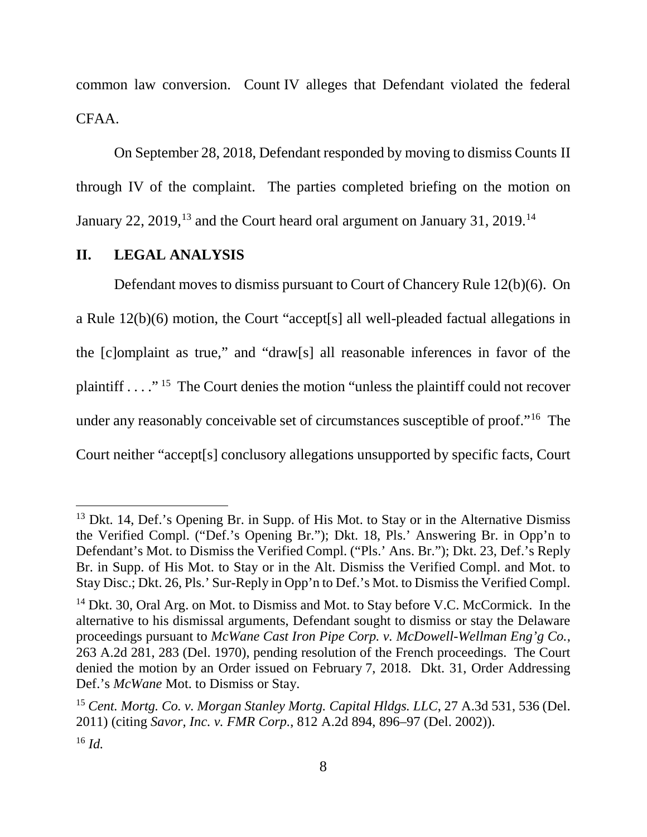common law conversion. Count IV alleges that Defendant violated the federal CFAA.

On September 28, 2018, Defendant responded by moving to dismiss Counts II through IV of the complaint. The parties completed briefing on the motion on January 22, 2019,<sup>13</sup> and the Court heard oral argument on January 31, 2019.<sup>14</sup>

## **II. LEGAL ANALYSIS**

 $\overline{\phantom{a}}$ 

Defendant moves to dismiss pursuant to Court of Chancery Rule 12(b)(6). On a Rule 12(b)(6) motion, the Court "accept[s] all well-pleaded factual allegations in the [c]omplaint as true," and "draw[s] all reasonable inferences in favor of the plaintiff  $\ldots$ ."<sup>15</sup> The Court denies the motion "unless the plaintiff could not recover under any reasonably conceivable set of circumstances susceptible of proof."16 The Court neither "accept[s] conclusory allegations unsupported by specific facts, Court

<sup>&</sup>lt;sup>13</sup> Dkt. 14, Def.'s Opening Br. in Supp. of His Mot. to Stay or in the Alternative Dismiss the Verified Compl. ("Def.'s Opening Br."); Dkt. 18, Pls.' Answering Br. in Opp'n to Defendant's Mot. to Dismiss the Verified Compl. ("Pls.' Ans. Br."); Dkt. 23, Def.'s Reply Br. in Supp. of His Mot. to Stay or in the Alt. Dismiss the Verified Compl. and Mot. to Stay Disc.; Dkt. 26, Pls.' Sur-Reply in Opp'n to Def.'s Mot. to Dismiss the Verified Compl.

<sup>&</sup>lt;sup>14</sup> Dkt. 30, Oral Arg. on Mot. to Dismiss and Mot. to Stay before V.C. McCormick. In the alternative to his dismissal arguments, Defendant sought to dismiss or stay the Delaware proceedings pursuant to *McWane Cast Iron Pipe Corp. v. McDowell-Wellman Eng'g Co.*, 263 A.2d 281, 283 (Del. 1970), pending resolution of the French proceedings. The Court denied the motion by an Order issued on February 7, 2018. Dkt. 31, Order Addressing Def.'s *McWane* Mot. to Dismiss or Stay.

<sup>15</sup> *Cent. Mortg. Co. v. Morgan Stanley Mortg. Capital Hldgs. LLC*, 27 A.3d 531, 536 (Del. 2011) (citing *Savor, Inc. v. FMR Corp.*, 812 A.2d 894, 896–97 (Del. 2002)). <sup>16</sup> *Id.*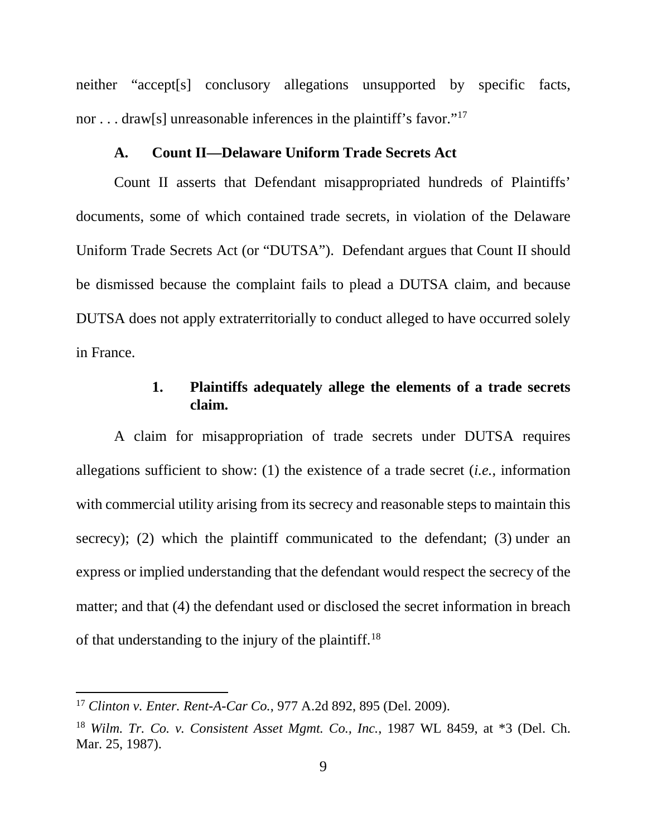neither "accept[s] conclusory allegations unsupported by specific facts, nor . . . draw[s] unreasonable inferences in the plaintiff's favor."<sup>17</sup>

## **A. Count II—Delaware Uniform Trade Secrets Act**

Count II asserts that Defendant misappropriated hundreds of Plaintiffs' documents, some of which contained trade secrets, in violation of the Delaware Uniform Trade Secrets Act (or "DUTSA"). Defendant argues that Count II should be dismissed because the complaint fails to plead a DUTSA claim, and because DUTSA does not apply extraterritorially to conduct alleged to have occurred solely in France.

## **1. Plaintiffs adequately allege the elements of a trade secrets claim.**

A claim for misappropriation of trade secrets under DUTSA requires allegations sufficient to show: (1) the existence of a trade secret (*i.e.*, information with commercial utility arising from its secrecy and reasonable steps to maintain this secrecy); (2) which the plaintiff communicated to the defendant; (3) under an express or implied understanding that the defendant would respect the secrecy of the matter; and that (4) the defendant used or disclosed the secret information in breach of that understanding to the injury of the plaintiff.<sup>18</sup>

<sup>17</sup> *Clinton v. Enter. Rent-A-Car Co.*, 977 A.2d 892, 895 (Del. 2009).

<sup>18</sup> *Wilm. Tr. Co. v. Consistent Asset Mgmt. Co., Inc.*, 1987 WL 8459, at \*3 (Del. Ch. Mar. 25, 1987).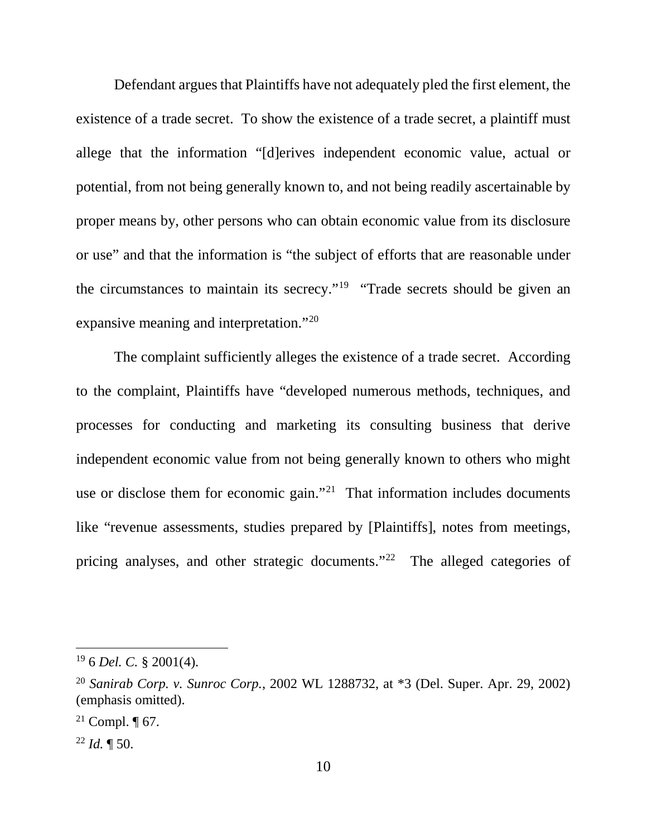Defendant argues that Plaintiffs have not adequately pled the first element, the existence of a trade secret. To show the existence of a trade secret, a plaintiff must allege that the information "[d]erives independent economic value, actual or potential, from not being generally known to, and not being readily ascertainable by proper means by, other persons who can obtain economic value from its disclosure or use" and that the information is "the subject of efforts that are reasonable under the circumstances to maintain its secrecy."19 "Trade secrets should be given an expansive meaning and interpretation."20

The complaint sufficiently alleges the existence of a trade secret. According to the complaint, Plaintiffs have "developed numerous methods, techniques, and processes for conducting and marketing its consulting business that derive independent economic value from not being generally known to others who might use or disclose them for economic gain."<sup>21</sup> That information includes documents like "revenue assessments, studies prepared by [Plaintiffs], notes from meetings, pricing analyses, and other strategic documents."<sup>22</sup> The alleged categories of

<sup>19</sup> 6 *Del. C.* § 2001(4).

<sup>20</sup> *Sanirab Corp. v. Sunroc Corp.*, 2002 WL 1288732, at \*3 (Del. Super. Apr. 29, 2002) (emphasis omitted).

<sup>&</sup>lt;sup>21</sup> Compl.  $\P$  67.

 $^{22}$  *Id.*  $\P$  50.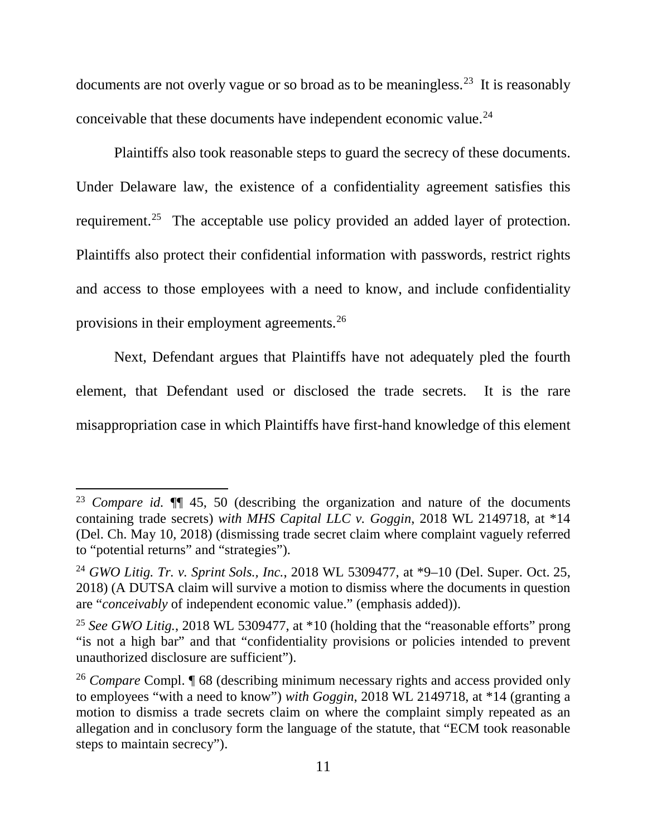documents are not overly vague or so broad as to be meaningless.23 It is reasonably conceivable that these documents have independent economic value.<sup>24</sup>

Plaintiffs also took reasonable steps to guard the secrecy of these documents. Under Delaware law, the existence of a confidentiality agreement satisfies this requirement.<sup>25</sup> The acceptable use policy provided an added layer of protection. Plaintiffs also protect their confidential information with passwords, restrict rights and access to those employees with a need to know, and include confidentiality provisions in their employment agreements.26

Next, Defendant argues that Plaintiffs have not adequately pled the fourth element, that Defendant used or disclosed the trade secrets. It is the rare misappropriation case in which Plaintiffs have first-hand knowledge of this element

<sup>23</sup> *Compare id.* ¶¶ 45, 50 (describing the organization and nature of the documents containing trade secrets) *with MHS Capital LLC v. Goggin*, 2018 WL 2149718, at \*14 (Del. Ch. May 10, 2018) (dismissing trade secret claim where complaint vaguely referred to "potential returns" and "strategies").

<sup>24</sup> *GWO Litig. Tr. v. Sprint Sols., Inc.*, 2018 WL 5309477, at \*9–10 (Del. Super. Oct. 25, 2018) (A DUTSA claim will survive a motion to dismiss where the documents in question are "*conceivably* of independent economic value." (emphasis added)).

<sup>25</sup> *See GWO Litig.*, 2018 WL 5309477, at \*10 (holding that the "reasonable efforts" prong "is not a high bar" and that "confidentiality provisions or policies intended to prevent unauthorized disclosure are sufficient").

<sup>26</sup> *Compare* Compl. ¶ 68 (describing minimum necessary rights and access provided only to employees "with a need to know") *with Goggin*, 2018 WL 2149718, at \*14 (granting a motion to dismiss a trade secrets claim on where the complaint simply repeated as an allegation and in conclusory form the language of the statute, that "ECM took reasonable steps to maintain secrecy").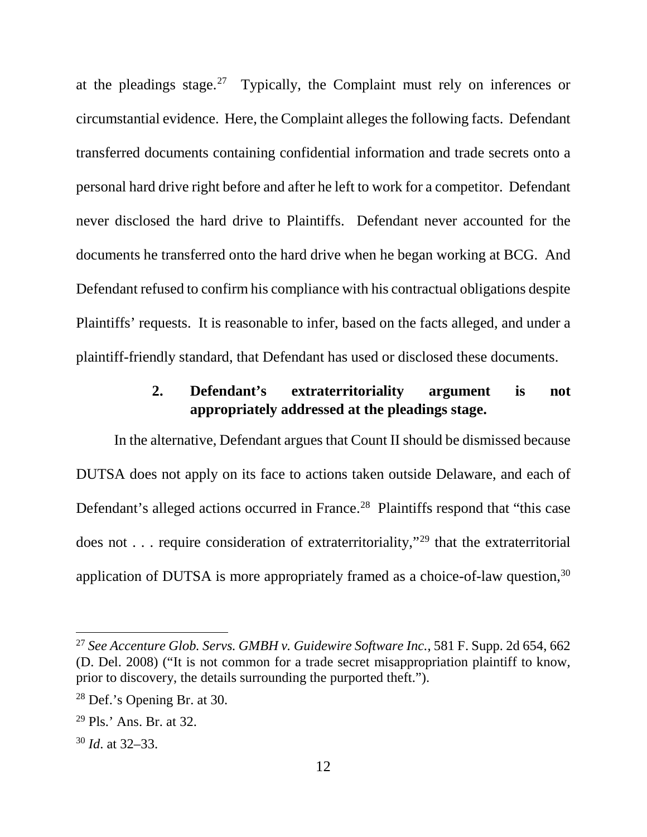at the pleadings stage.<sup>27</sup> Typically, the Complaint must rely on inferences or circumstantial evidence. Here, the Complaint alleges the following facts. Defendant transferred documents containing confidential information and trade secrets onto a personal hard drive right before and after he left to work for a competitor. Defendant never disclosed the hard drive to Plaintiffs. Defendant never accounted for the documents he transferred onto the hard drive when he began working at BCG. And Defendant refused to confirm his compliance with his contractual obligations despite Plaintiffs' requests. It is reasonable to infer, based on the facts alleged, and under a plaintiff-friendly standard, that Defendant has used or disclosed these documents.

# **2. Defendant's extraterritoriality argument is not appropriately addressed at the pleadings stage.**

In the alternative, Defendant argues that Count II should be dismissed because DUTSA does not apply on its face to actions taken outside Delaware, and each of Defendant's alleged actions occurred in France.<sup>28</sup> Plaintiffs respond that "this case does not . . . require consideration of extraterritoriality,"29 that the extraterritorial application of DUTSA is more appropriately framed as a choice-of-law question,<sup>30</sup>

<sup>27</sup> *See Accenture Glob. Servs. GMBH v. Guidewire Software Inc.*, 581 F. Supp. 2d 654, 662 (D. Del. 2008) ("It is not common for a trade secret misappropriation plaintiff to know, prior to discovery, the details surrounding the purported theft.").

<sup>28</sup> Def.'s Opening Br. at 30.

<sup>29</sup> Pls.' Ans. Br. at 32.

<sup>30</sup> *Id*. at 32–33.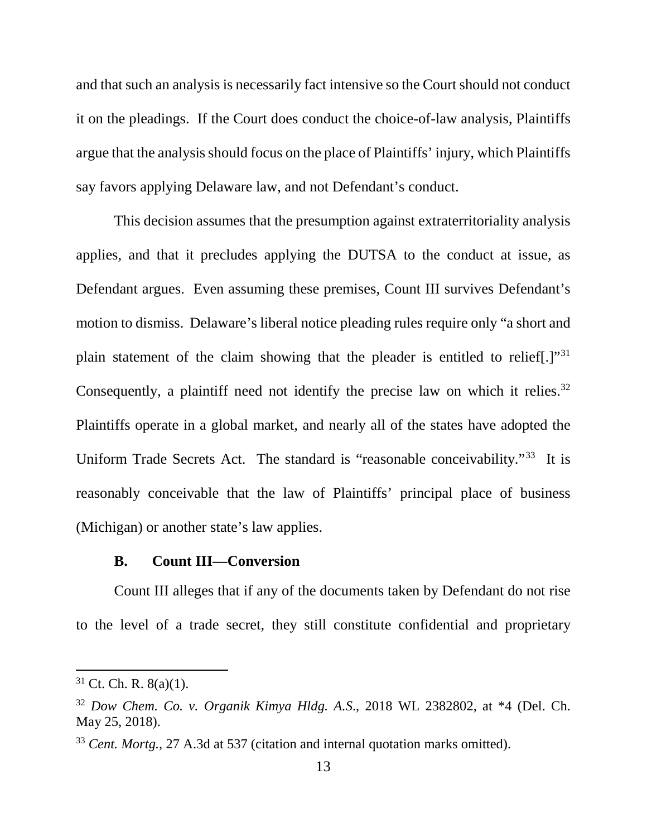and that such an analysis is necessarily fact intensive so the Court should not conduct it on the pleadings. If the Court does conduct the choice-of-law analysis, Plaintiffs argue that the analysis should focus on the place of Plaintiffs' injury, which Plaintiffs say favors applying Delaware law, and not Defendant's conduct.

This decision assumes that the presumption against extraterritoriality analysis applies, and that it precludes applying the DUTSA to the conduct at issue, as Defendant argues. Even assuming these premises, Count III survives Defendant's motion to dismiss. Delaware's liberal notice pleading rules require only "a short and plain statement of the claim showing that the pleader is entitled to relief[.]"31 Consequently, a plaintiff need not identify the precise law on which it relies.<sup>32</sup> Plaintiffs operate in a global market, and nearly all of the states have adopted the Uniform Trade Secrets Act. The standard is "reasonable conceivability."<sup>33</sup> It is reasonably conceivable that the law of Plaintiffs' principal place of business (Michigan) or another state's law applies.

#### **B. Count III—Conversion**

Count III alleges that if any of the documents taken by Defendant do not rise to the level of a trade secret, they still constitute confidential and proprietary

 $31$  Ct. Ch. R.  $8(a)(1)$ .

<sup>32</sup> *Dow Chem. Co. v. Organik Kimya Hldg. A.S*., 2018 WL 2382802, at \*4 (Del. Ch. May 25, 2018).

<sup>33</sup> *Cent. Mortg.*, 27 A.3d at 537 (citation and internal quotation marks omitted).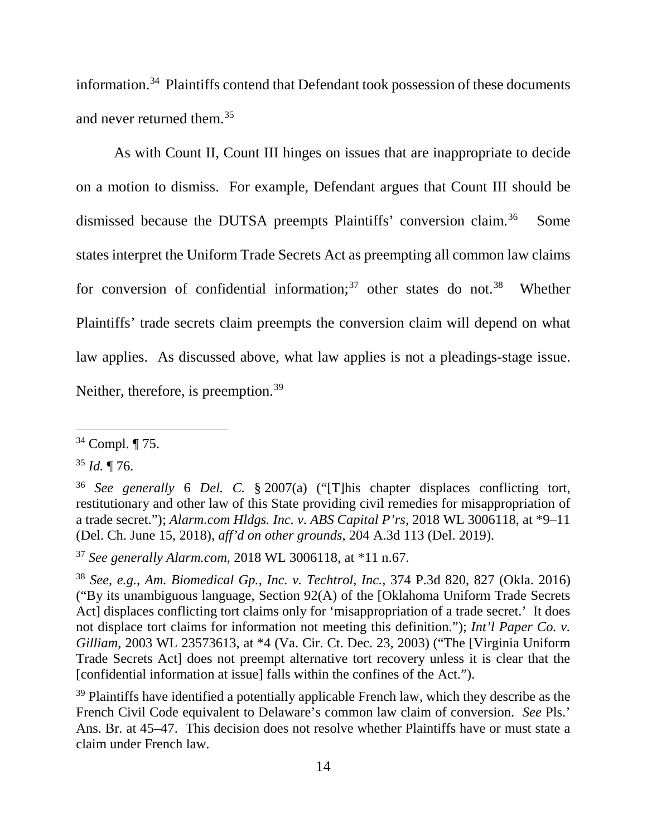information. <sup>34</sup> Plaintiffs contend that Defendant took possession of these documents and never returned them. 35

As with Count II, Count III hinges on issues that are inappropriate to decide on a motion to dismiss. For example, Defendant argues that Count III should be dismissed because the DUTSA preempts Plaintiffs' conversion claim.<sup>36</sup> Some states interpret the Uniform Trade Secrets Act as preempting all common law claims for conversion of confidential information; $37$  other states do not. $38$  Whether Plaintiffs' trade secrets claim preempts the conversion claim will depend on what law applies. As discussed above, what law applies is not a pleadings-stage issue. Neither, therefore, is preemption.<sup>39</sup>

l

<sup>37</sup> *See generally Alarm.com*, 2018 WL 3006118, at \*11 n.67.

<sup>34</sup> Compl. ¶ 75.

<sup>35</sup> *Id.* ¶ 76.

<sup>36</sup> *See generally* 6 *Del. C.* § 2007(a) ("[T]his chapter displaces conflicting tort, restitutionary and other law of this State providing civil remedies for misappropriation of a trade secret."); *Alarm.com Hldgs. Inc. v. ABS Capital P'rs*, 2018 WL 3006118, at \*9–11 (Del. Ch. June 15, 2018), *aff'd on other grounds*, 204 A.3d 113 (Del. 2019).

<sup>38</sup> *See, e.g.*, *Am. Biomedical Gp., Inc. v. Techtrol, Inc.*, 374 P.3d 820, 827 (Okla. 2016) ("By its unambiguous language, Section 92(A) of the [Oklahoma Uniform Trade Secrets Act] displaces conflicting tort claims only for 'misappropriation of a trade secret.' It does not displace tort claims for information not meeting this definition."); *Int'l Paper Co. v. Gilliam*, 2003 WL 23573613, at \*4 (Va. Cir. Ct. Dec. 23, 2003) ("The [Virginia Uniform Trade Secrets Act] does not preempt alternative tort recovery unless it is clear that the [confidential information at issue] falls within the confines of the Act.").

<sup>&</sup>lt;sup>39</sup> Plaintiffs have identified a potentially applicable French law, which they describe as the French Civil Code equivalent to Delaware's common law claim of conversion. *See* Pls.' Ans. Br. at 45–47. This decision does not resolve whether Plaintiffs have or must state a claim under French law.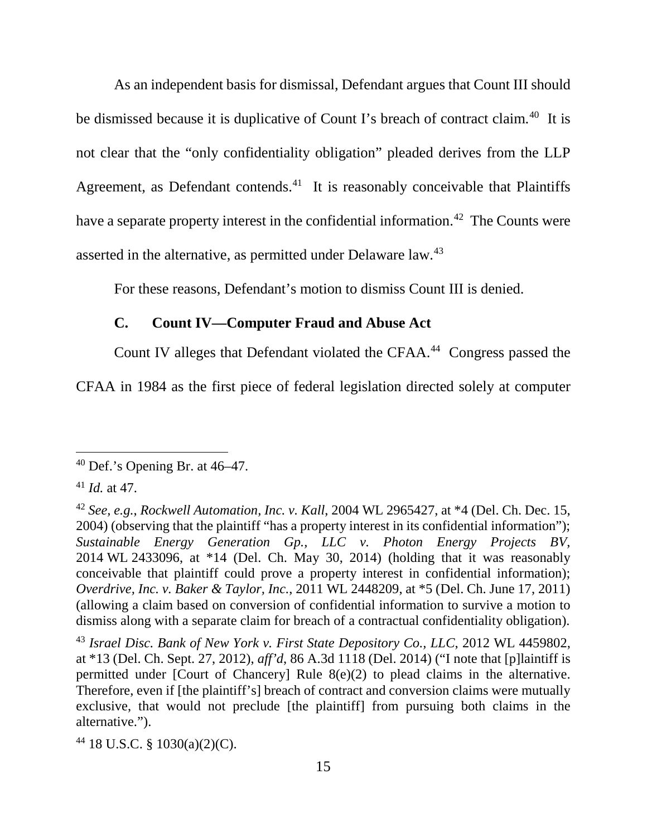As an independent basis for dismissal, Defendant argues that Count III should be dismissed because it is duplicative of Count I's breach of contract claim.<sup>40</sup> It is not clear that the "only confidentiality obligation" pleaded derives from the LLP Agreement, as Defendant contends.<sup>41</sup> It is reasonably conceivable that Plaintiffs have a separate property interest in the confidential information.<sup>42</sup> The Counts were asserted in the alternative, as permitted under Delaware law.43

For these reasons, Defendant's motion to dismiss Count III is denied.

## **C. Count IV—Computer Fraud and Abuse Act**

Count IV alleges that Defendant violated the CFAA. 44 Congress passed the

CFAA in 1984 as the first piece of federal legislation directed solely at computer

l

<sup>44</sup> 18 U.S.C. § 1030(a)(2)(C).

 $40$  Def.'s Opening Br. at  $46-47$ .

<sup>41</sup> *Id.* at 47.

<sup>42</sup> *See, e.g.*, *Rockwell Automation, Inc. v. Kall*, 2004 WL 2965427, at \*4 (Del. Ch. Dec. 15, 2004) (observing that the plaintiff "has a property interest in its confidential information"); *Sustainable Energy Generation Gp., LLC v. Photon Energy Projects BV*, 2014 WL 2433096, at \*14 (Del. Ch. May 30, 2014) (holding that it was reasonably conceivable that plaintiff could prove a property interest in confidential information); *Overdrive, Inc. v. Baker & Taylor, Inc.*, 2011 WL 2448209, at \*5 (Del. Ch. June 17, 2011) (allowing a claim based on conversion of confidential information to survive a motion to dismiss along with a separate claim for breach of a contractual confidentiality obligation).

<sup>43</sup> *Israel Disc. Bank of New York v. First State Depository Co., LLC*, 2012 WL 4459802, at \*13 (Del. Ch. Sept. 27, 2012), *aff'd*, 86 A.3d 1118 (Del. 2014) ("I note that [p]laintiff is permitted under [Court of Chancery] Rule 8(e)(2) to plead claims in the alternative. Therefore, even if [the plaintiff's] breach of contract and conversion claims were mutually exclusive, that would not preclude [the plaintiff] from pursuing both claims in the alternative.").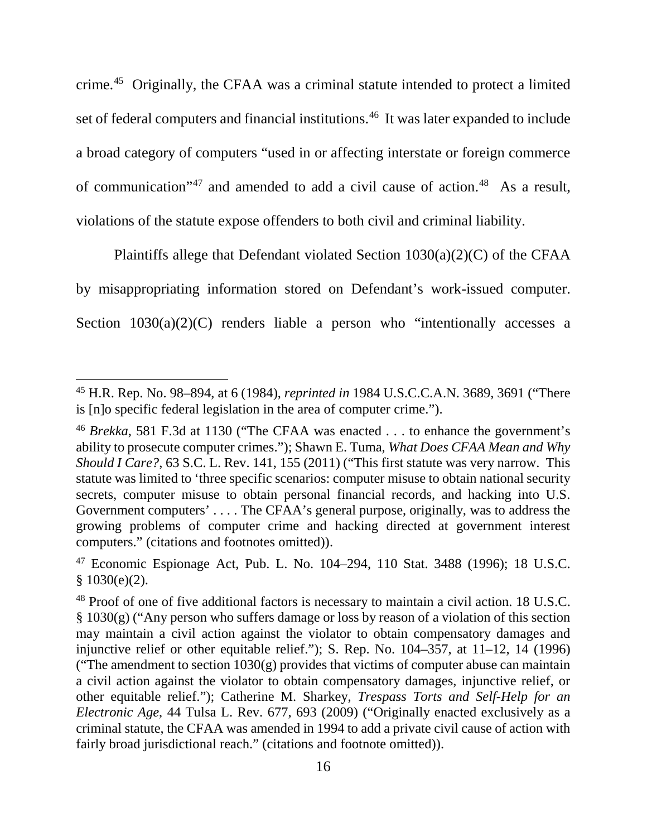crime.45 Originally, the CFAA was a criminal statute intended to protect a limited set of federal computers and financial institutions.<sup>46</sup> It was later expanded to include a broad category of computers "used in or affecting interstate or foreign commerce of communication"<sup>47</sup> and amended to add a civil cause of action.<sup>48</sup> As a result, violations of the statute expose offenders to both civil and criminal liability.

Plaintiffs allege that Defendant violated Section 1030(a)(2)(C) of the CFAA by misappropriating information stored on Defendant's work-issued computer. Section  $1030(a)(2)(C)$  renders liable a person who "intentionally accesses a

<sup>45</sup> H.R. Rep. No. 98–894, at 6 (1984), *reprinted in* 1984 U.S.C.C.A.N. 3689, 3691 ("There is [n]o specific federal legislation in the area of computer crime.").

<sup>46</sup> *Brekka*, 581 F.3d at 1130 ("The CFAA was enacted . . . to enhance the government's ability to prosecute computer crimes."); Shawn E. Tuma, *What Does CFAA Mean and Why Should I Care?*, 63 S.C. L. Rev. 141, 155 (2011) ("This first statute was very narrow. This statute was limited to 'three specific scenarios: computer misuse to obtain national security secrets, computer misuse to obtain personal financial records, and hacking into U.S. Government computers' . . . . The CFAA's general purpose, originally, was to address the growing problems of computer crime and hacking directed at government interest computers." (citations and footnotes omitted)).

<sup>47</sup> Economic Espionage Act, Pub. L. No. 104–294, 110 Stat. 3488 (1996); 18 U.S.C.  $$1030(e)(2)$ .

<sup>&</sup>lt;sup>48</sup> Proof of one of five additional factors is necessary to maintain a civil action. 18 U.S.C. § 1030(g) ("Any person who suffers damage or loss by reason of a violation of this section may maintain a civil action against the violator to obtain compensatory damages and injunctive relief or other equitable relief."); S. Rep. No. 104–357, at 11–12, 14 (1996) ("The amendment to section  $1030(g)$  provides that victims of computer abuse can maintain a civil action against the violator to obtain compensatory damages, injunctive relief, or other equitable relief."); Catherine M. Sharkey, *Trespass Torts and Self-Help for an Electronic Age*, 44 Tulsa L. Rev. 677, 693 (2009) ("Originally enacted exclusively as a criminal statute, the CFAA was amended in 1994 to add a private civil cause of action with fairly broad jurisdictional reach." (citations and footnote omitted)).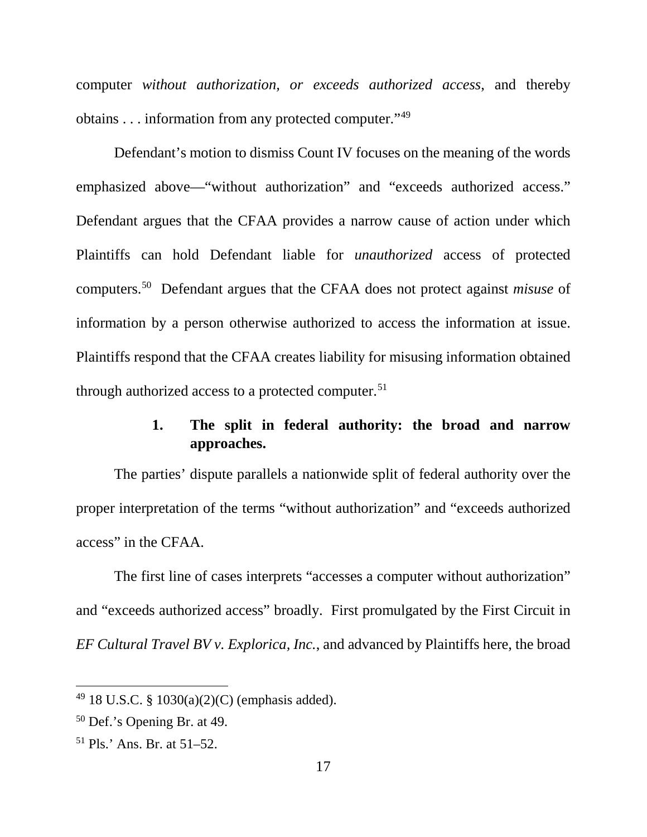computer *without authorization, or exceeds authorized access*, and thereby obtains . . . information from any protected computer."49

Defendant's motion to dismiss Count IV focuses on the meaning of the words emphasized above—"without authorization" and "exceeds authorized access." Defendant argues that the CFAA provides a narrow cause of action under which Plaintiffs can hold Defendant liable for *unauthorized* access of protected computers.50 Defendant argues that the CFAA does not protect against *misuse* of information by a person otherwise authorized to access the information at issue. Plaintiffs respond that the CFAA creates liability for misusing information obtained through authorized access to a protected computer.<sup>51</sup>

# **1. The split in federal authority: the broad and narrow approaches.**

The parties' dispute parallels a nationwide split of federal authority over the proper interpretation of the terms "without authorization" and "exceeds authorized access" in the CFAA.

The first line of cases interprets "accesses a computer without authorization" and "exceeds authorized access" broadly. First promulgated by the First Circuit in *EF Cultural Travel BV v. Explorica, Inc.*, and advanced by Plaintiffs here, the broad

<sup>49</sup> 18 U.S.C. § 1030(a)(2)(C) (emphasis added).

<sup>50</sup> Def.'s Opening Br. at 49.

<sup>51</sup> Pls.' Ans. Br. at 51–52.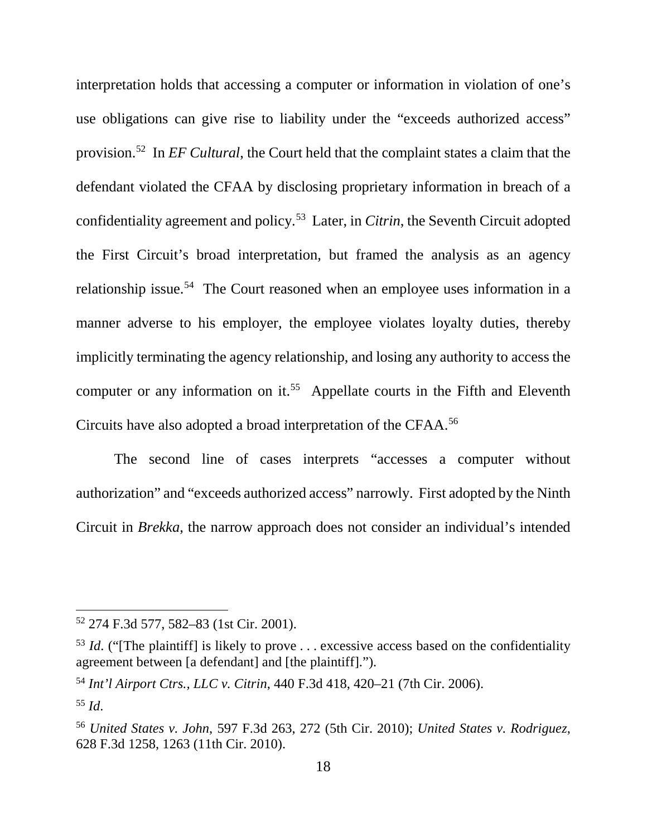interpretation holds that accessing a computer or information in violation of one's use obligations can give rise to liability under the "exceeds authorized access" provision.52 In *EF Cultural*, the Court held that the complaint states a claim that the defendant violated the CFAA by disclosing proprietary information in breach of a confidentiality agreement and policy.53Later, in *Citrin*, the Seventh Circuit adopted the First Circuit's broad interpretation, but framed the analysis as an agency relationship issue.<sup>54</sup> The Court reasoned when an employee uses information in a manner adverse to his employer, the employee violates loyalty duties, thereby implicitly terminating the agency relationship, and losing any authority to access the computer or any information on it.<sup>55</sup> Appellate courts in the Fifth and Eleventh Circuits have also adopted a broad interpretation of the CFAA. 56

The second line of cases interprets "accesses a computer without authorization" and "exceeds authorized access" narrowly. First adopted by the Ninth Circuit in *Brekka*, the narrow approach does not consider an individual's intended

<sup>52</sup> 274 F.3d 577, 582–83 (1st Cir. 2001).

<sup>&</sup>lt;sup>53</sup> *Id.* ("The plaintiff] is likely to prove ... excessive access based on the confidentiality agreement between [a defendant] and [the plaintiff].").

<sup>54</sup> *Int'l Airport Ctrs., LLC v. Citrin*, 440 F.3d 418, 420–21 (7th Cir. 2006).

<sup>55</sup> *Id*.

<sup>56</sup> *United States v. John*, 597 F.3d 263, 272 (5th Cir. 2010); *United States v. Rodriguez*, 628 F.3d 1258, 1263 (11th Cir. 2010).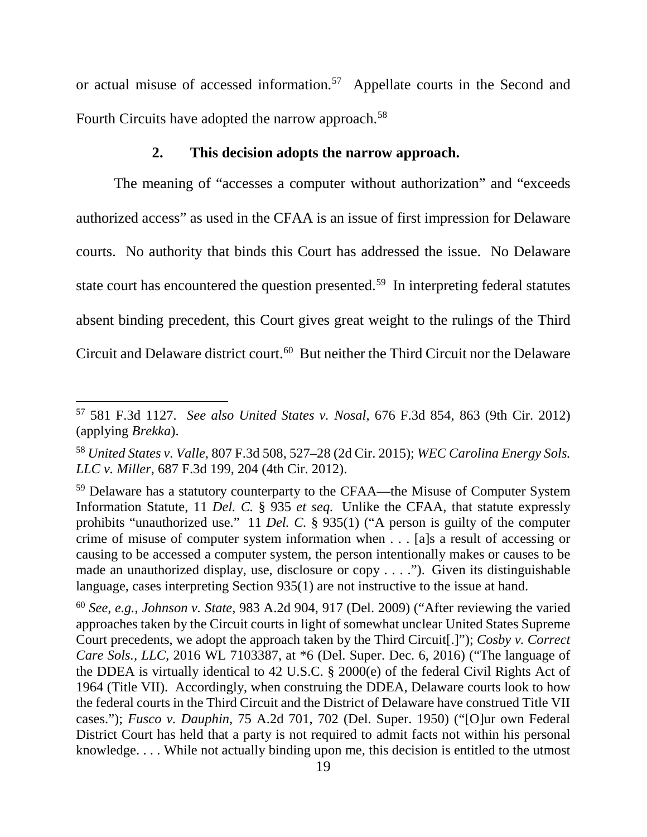or actual misuse of accessed information.57 Appellate courts in the Second and Fourth Circuits have adopted the narrow approach.<sup>58</sup>

## **2. This decision adopts the narrow approach.**

The meaning of "accesses a computer without authorization" and "exceeds authorized access" as used in the CFAA is an issue of first impression for Delaware courts. No authority that binds this Court has addressed the issue. No Delaware state court has encountered the question presented.<sup>59</sup> In interpreting federal statutes absent binding precedent, this Court gives great weight to the rulings of the Third Circuit and Delaware district court. <sup>60</sup> But neither the Third Circuit nor the Delaware

 $\overline{\phantom{a}}$ 

<sup>57</sup> 581 F.3d 1127. *See also United States v. Nosal*, 676 F.3d 854, 863 (9th Cir. 2012) (applying *Brekka*).

<sup>58</sup> *United States v. Valle*, 807 F.3d 508, 527–28 (2d Cir. 2015); *WEC Carolina Energy Sols. LLC v. Miller*, 687 F.3d 199, 204 (4th Cir. 2012).

<sup>59</sup> Delaware has a statutory counterparty to the CFAA—the Misuse of Computer System Information Statute, 11 *Del. C.* § 935 *et seq.* Unlike the CFAA, that statute expressly prohibits "unauthorized use." 11 *Del. C.* § 935(1) ("A person is guilty of the computer crime of misuse of computer system information when . . . [a]s a result of accessing or causing to be accessed a computer system, the person intentionally makes or causes to be made an unauthorized display, use, disclosure or copy . . . ."). Given its distinguishable language, cases interpreting Section 935(1) are not instructive to the issue at hand.

<sup>60</sup> *See, e.g.*, *Johnson v. State*, 983 A.2d 904, 917 (Del. 2009) ("After reviewing the varied approaches taken by the Circuit courts in light of somewhat unclear United States Supreme Court precedents, we adopt the approach taken by the Third Circuit[.]"); *Cosby v. Correct Care Sols., LLC*, 2016 WL 7103387, at \*6 (Del. Super. Dec. 6, 2016) ("The language of the DDEA is virtually identical to 42 U.S.C. § 2000(e) of the federal Civil Rights Act of 1964 (Title VII). Accordingly, when construing the DDEA, Delaware courts look to how the federal courts in the Third Circuit and the District of Delaware have construed Title VII cases."); *Fusco v. Dauphin*, 75 A.2d 701, 702 (Del. Super. 1950) ("[O]ur own Federal District Court has held that a party is not required to admit facts not within his personal knowledge. . . . While not actually binding upon me, this decision is entitled to the utmost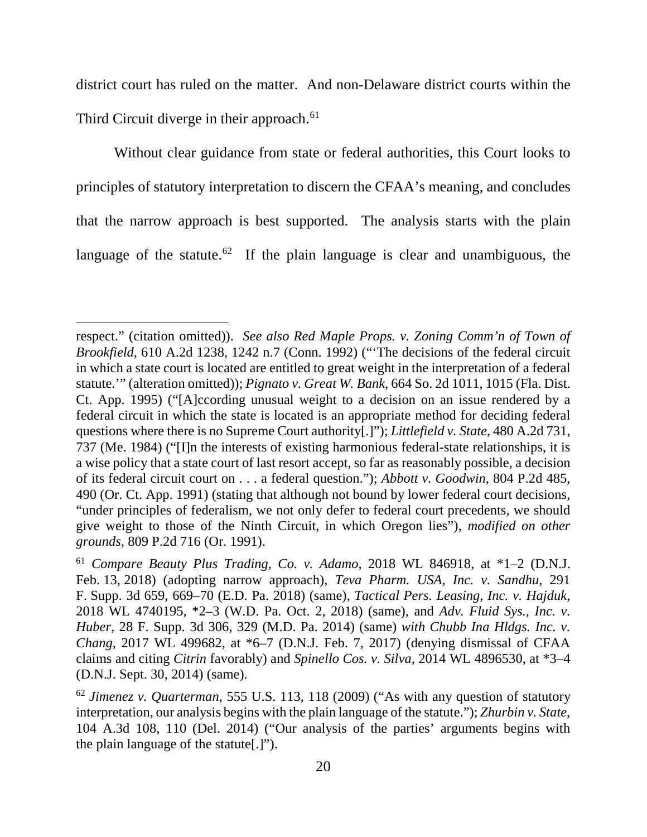district court has ruled on the matter. And non-Delaware district courts within the Third Circuit diverge in their approach.<sup>61</sup>

Without clear guidance from state or federal authorities, this Court looks to principles of statutory interpretation to discern the CFAA's meaning, and concludes that the narrow approach is best supported. The analysis starts with the plain language of the statute.<sup>62</sup> If the plain language is clear and unambiguous, the

 $\overline{\phantom{a}}$ 

respect." (citation omitted)). *See also Red Maple Props. v. Zoning Comm'n of Town of Brookfield*, 610 A.2d 1238, 1242 n.7 (Conn. 1992) ("'The decisions of the federal circuit in which a state court is located are entitled to great weight in the interpretation of a federal statute.'" (alteration omitted)); *Pignato v. Great W. Bank*, 664 So. 2d 1011, 1015 (Fla. Dist. Ct. App. 1995) ("[A]ccording unusual weight to a decision on an issue rendered by a federal circuit in which the state is located is an appropriate method for deciding federal questions where there is no Supreme Court authority[.]"); *Littlefield v. State*, 480 A.2d 731, 737 (Me. 1984) ("[I]n the interests of existing harmonious federal-state relationships, it is a wise policy that a state court of last resort accept, so far as reasonably possible, a decision of its federal circuit court on . . . a federal question."); *Abbott v. Goodwin*, 804 P.2d 485, 490 (Or. Ct. App. 1991) (stating that although not bound by lower federal court decisions, "under principles of federalism, we not only defer to federal court precedents, we should give weight to those of the Ninth Circuit, in which Oregon lies"), *modified on other grounds*, 809 P.2d 716 (Or. 1991).

<sup>61</sup> *Compare Beauty Plus Trading, Co. v. Adamo*, 2018 WL 846918, at \*1–2 (D.N.J. Feb. 13, 2018) (adopting narrow approach), *Teva Pharm. USA, Inc. v. Sandhu*, 291 F. Supp. 3d 659, 669–70 (E.D. Pa. 2018) (same), *Tactical Pers. Leasing, Inc. v. Hajduk*, 2018 WL 4740195, \*2–3 (W.D. Pa. Oct. 2, 2018) (same), and *Adv. Fluid Sys., Inc. v. Huber*, 28 F. Supp. 3d 306, 329 (M.D. Pa. 2014) (same) *with Chubb Ina Hldgs. Inc. v. Chang*, 2017 WL 499682, at \*6–7 (D.N.J. Feb. 7, 2017) (denying dismissal of CFAA claims and citing *Citrin* favorably) and *Spinello Cos. v. Silva*, 2014 WL 4896530, at \*3–4 (D.N.J. Sept. 30, 2014) (same).

<sup>62</sup> *Jimenez v. Quarterman*, 555 U.S. 113, 118 (2009) ("As with any question of statutory interpretation, our analysis begins with the plain language of the statute."); *Zhurbin v. State*, 104 A.3d 108, 110 (Del. 2014) ("Our analysis of the parties' arguments begins with the plain language of the statute[.]").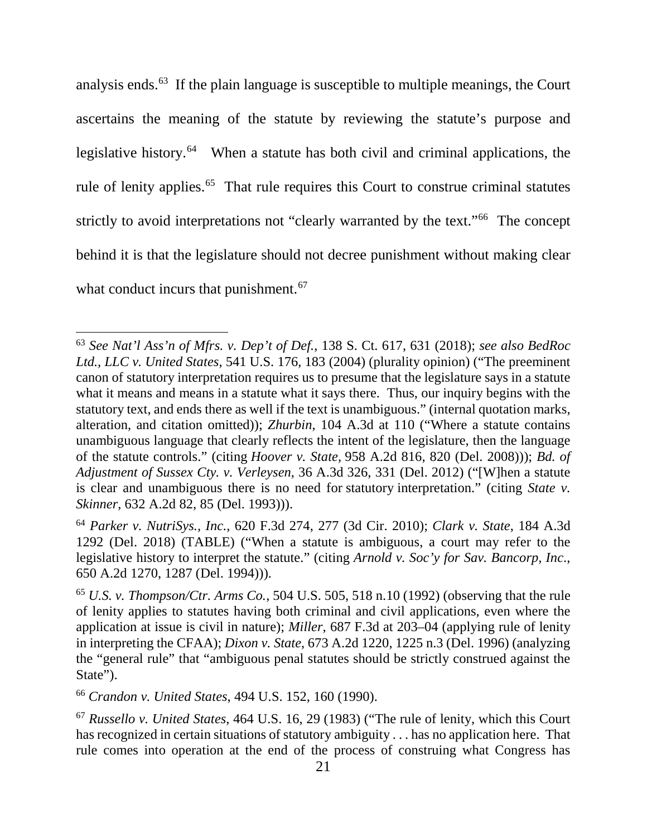analysis ends.63 If the plain language is susceptible to multiple meanings, the Court ascertains the meaning of the statute by reviewing the statute's purpose and legislative history.<sup>64</sup> When a statute has both civil and criminal applications, the rule of lenity applies.<sup>65</sup> That rule requires this Court to construe criminal statutes strictly to avoid interpretations not "clearly warranted by the text."66 The concept behind it is that the legislature should not decree punishment without making clear what conduct incurs that punishment.<sup>67</sup>

<sup>63</sup> *See Nat'l Ass'n of Mfrs. v. Dep't of Def.*, 138 S. Ct. 617, 631 (2018); *see also BedRoc Ltd., LLC v. United States*, 541 U.S. 176, 183 (2004) (plurality opinion) ("The preeminent canon of statutory interpretation requires us to presume that the legislature says in a statute what it means and means in a statute what it says there. Thus, our inquiry begins with the statutory text, and ends there as well if the text is unambiguous." (internal quotation marks, alteration, and citation omitted)); *Zhurbin*, 104 A.3d at 110 ("Where a statute contains unambiguous language that clearly reflects the intent of the legislature, then the language of the statute controls." (citing *Hoover v. State,* 958 A.2d 816, 820 (Del. 2008))); *Bd. of Adjustment of Sussex Cty. v. Verleysen*, 36 A.3d 326, 331 (Del. 2012) ("[W]hen a statute is clear and unambiguous there is no need for statutory interpretation." (citing *State v. Skinner*, 632 A.2d 82, 85 (Del. 1993))).

<sup>64</sup> *Parker v. NutriSys., Inc.*, 620 F.3d 274, 277 (3d Cir. 2010); *Clark v. State*, 184 A.3d 1292 (Del. 2018) (TABLE) ("When a statute is ambiguous, a court may refer to the legislative history to interpret the statute." (citing *Arnold v. Soc'y for Sav. Bancorp, Inc*., 650 A.2d 1270, 1287 (Del. 1994))).

<sup>65</sup> *U.S. v. Thompson/Ctr. Arms Co.*, 504 U.S. 505, 518 n.10 (1992) (observing that the rule of lenity applies to statutes having both criminal and civil applications, even where the application at issue is civil in nature); *Miller*, 687 F.3d at 203–04 (applying rule of lenity in interpreting the CFAA); *Dixon v. State*, 673 A.2d 1220, 1225 n.3 (Del. 1996) (analyzing the "general rule" that "ambiguous penal statutes should be strictly construed against the State").

<sup>66</sup> *Crandon v. United States*, 494 U.S. 152, 160 (1990).

<sup>67</sup> *Russello v. United States*, 464 U.S. 16, 29 (1983) ("The rule of lenity, which this Court has recognized in certain situations of statutory ambiguity . . . has no application here. That rule comes into operation at the end of the process of construing what Congress has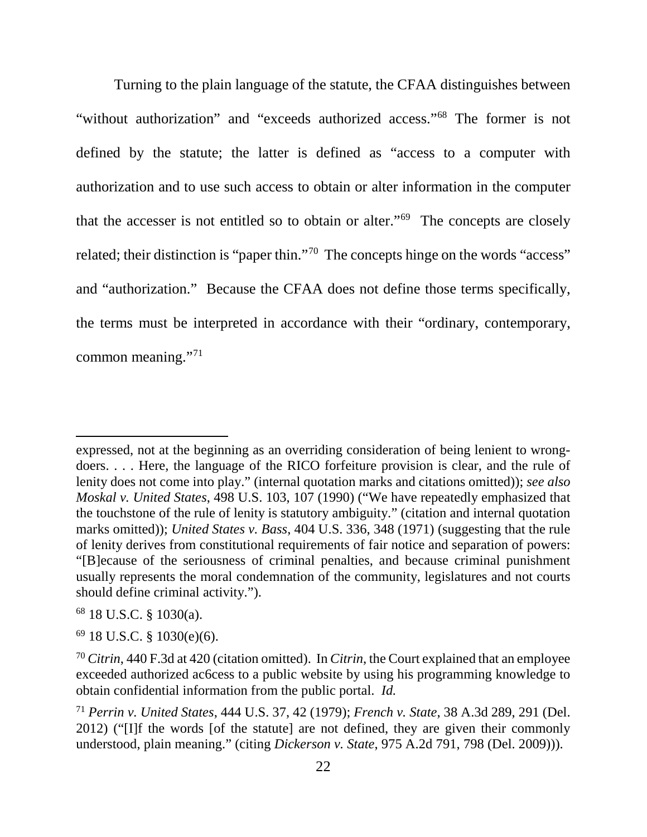Turning to the plain language of the statute, the CFAA distinguishes between "without authorization" and "exceeds authorized access."68 The former is not defined by the statute; the latter is defined as "access to a computer with authorization and to use such access to obtain or alter information in the computer that the accesser is not entitled so to obtain or alter."69 The concepts are closely related; their distinction is "paper thin."<sup>70</sup> The concepts hinge on the words "access" and "authorization." Because the CFAA does not define those terms specifically, the terms must be interpreted in accordance with their "ordinary, contemporary, common meaning."71

expressed, not at the beginning as an overriding consideration of being lenient to wrongdoers. . . . Here, the language of the RICO forfeiture provision is clear, and the rule of lenity does not come into play." (internal quotation marks and citations omitted)); *see also Moskal v. United States*, 498 U.S. 103, 107 (1990) ("We have repeatedly emphasized that the touchstone of the rule of lenity is statutory ambiguity." (citation and internal quotation marks omitted)); *United States v. Bass*, 404 U.S. 336, 348 (1971) (suggesting that the rule of lenity derives from constitutional requirements of fair notice and separation of powers: "[B]ecause of the seriousness of criminal penalties, and because criminal punishment usually represents the moral condemnation of the community, legislatures and not courts should define criminal activity.").

<sup>68</sup> 18 U.S.C. § 1030(a).

 $69$  18 U.S.C. § 1030(e)(6).

<sup>70</sup> *Citrin*, 440 F.3d at 420 (citation omitted). In *Citrin*, the Court explained that an employee exceeded authorized ac6cess to a public website by using his programming knowledge to obtain confidential information from the public portal. *Id.*

<sup>71</sup> *Perrin v. United States*, 444 U.S. 37, 42 (1979); *French v. State*, 38 A.3d 289, 291 (Del. 2012) ("[I]f the words [of the statute] are not defined, they are given their commonly understood, plain meaning." (citing *Dickerson v. State*, 975 A.2d 791, 798 (Del. 2009))).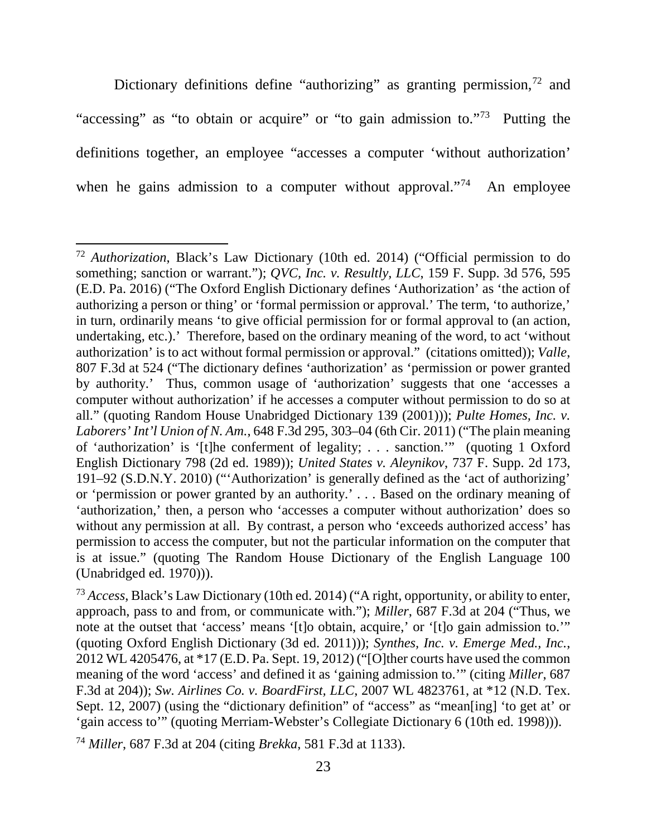Dictionary definitions define "authorizing" as granting permission,<sup>72</sup> and "accessing" as "to obtain or acquire" or "to gain admission to."73 Putting the definitions together, an employee "accesses a computer 'without authorization' when he gains admission to a computer without approval."<sup>74</sup> An employee

<sup>72</sup> *Authorization*, Black's Law Dictionary (10th ed. 2014) ("Official permission to do something; sanction or warrant."); *QVC, Inc. v. Resultly, LLC*, 159 F. Supp. 3d 576, 595 (E.D. Pa. 2016) ("The Oxford English Dictionary defines 'Authorization' as 'the action of authorizing a person or thing' or 'formal permission or approval.' The term, 'to authorize,' in turn, ordinarily means 'to give official permission for or formal approval to (an action, undertaking, etc.).' Therefore, based on the ordinary meaning of the word, to act 'without authorization' is to act without formal permission or approval." (citations omitted)); *Valle*, 807 F.3d at 524 ("The dictionary defines 'authorization' as 'permission or power granted by authority.' Thus, common usage of 'authorization' suggests that one 'accesses a computer without authorization' if he accesses a computer without permission to do so at all." (quoting Random House Unabridged Dictionary 139 (2001))); *Pulte Homes, Inc. v. Laborers' Int'l Union of N. Am.*, 648 F.3d 295, 303–04 (6th Cir. 2011) ("The plain meaning of 'authorization' is '[t]he conferment of legality; . . . sanction.'" (quoting 1 Oxford English Dictionary 798 (2d ed. 1989)); *United States v. Aleynikov*, 737 F. Supp. 2d 173, 191–92 (S.D.N.Y. 2010) ("'Authorization' is generally defined as the 'act of authorizing' or 'permission or power granted by an authority.' . . . Based on the ordinary meaning of 'authorization,' then, a person who 'accesses a computer without authorization' does so without any permission at all. By contrast, a person who 'exceeds authorized access' has permission to access the computer, but not the particular information on the computer that is at issue." (quoting The Random House Dictionary of the English Language 100 (Unabridged ed. 1970))).

<sup>73</sup> *Access*, Black's Law Dictionary (10th ed. 2014) ("A right, opportunity, or ability to enter, approach, pass to and from, or communicate with."); *Miller*, 687 F.3d at 204 ("Thus, we note at the outset that 'access' means '[t]o obtain, acquire,' or '[t]o gain admission to.'" (quoting Oxford English Dictionary (3d ed. 2011))); *Synthes, Inc. v. Emerge Med., Inc.*, 2012 WL 4205476, at \*17 (E.D. Pa. Sept. 19, 2012) ("[O]ther courts have used the common meaning of the word 'access' and defined it as 'gaining admission to.'" (citing *Miller*, 687 F.3d at 204)); *Sw. Airlines Co. v. BoardFirst, LLC*, 2007 WL 4823761, at \*12 (N.D. Tex. Sept. 12, 2007) (using the "dictionary definition" of "access" as "mean[ing] 'to get at' or 'gain access to'" (quoting Merriam-Webster's Collegiate Dictionary 6 (10th ed. 1998))).

<sup>74</sup> *Miller*, 687 F.3d at 204 (citing *Brekka*, 581 F.3d at 1133).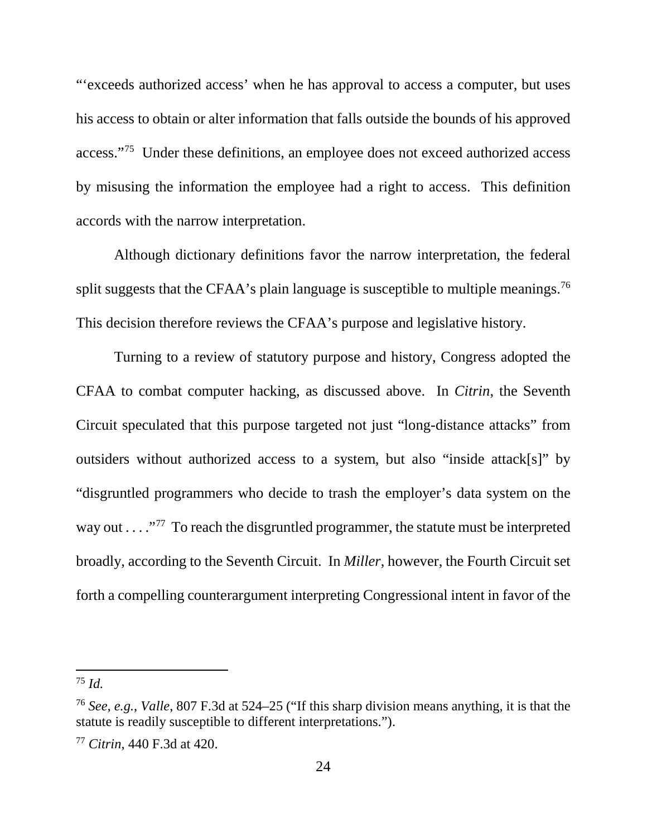"'exceeds authorized access' when he has approval to access a computer, but uses his access to obtain or alter information that falls outside the bounds of his approved access."75 Under these definitions, an employee does not exceed authorized access by misusing the information the employee had a right to access. This definition accords with the narrow interpretation.

Although dictionary definitions favor the narrow interpretation, the federal split suggests that the CFAA's plain language is susceptible to multiple meanings.<sup>76</sup> This decision therefore reviews the CFAA's purpose and legislative history.

Turning to a review of statutory purpose and history, Congress adopted the CFAA to combat computer hacking, as discussed above. In *Citrin*, the Seventh Circuit speculated that this purpose targeted not just "long-distance attacks" from outsiders without authorized access to a system, but also "inside attack[s]" by "disgruntled programmers who decide to trash the employer's data system on the way out . . . ."77 To reach the disgruntled programmer, the statute must be interpreted broadly, according to the Seventh Circuit. In *Miller*, however, the Fourth Circuit set forth a compelling counterargument interpreting Congressional intent in favor of the

<sup>75</sup> *Id.*

<sup>76</sup> *See, e.g.*, *Valle*, 807 F.3d at 524–25 ("If this sharp division means anything, it is that the statute is readily susceptible to different interpretations.").

<sup>77</sup> *Citrin*, 440 F.3d at 420.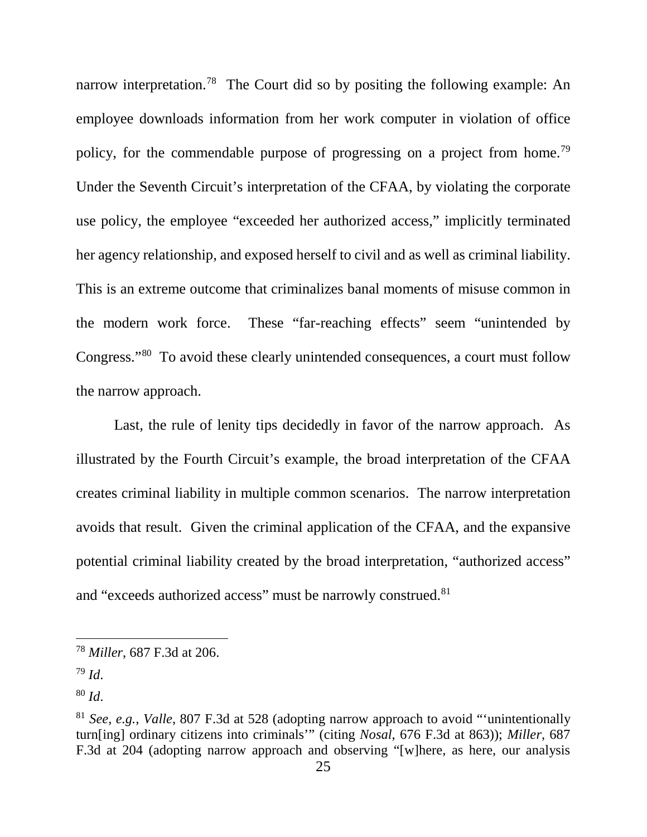narrow interpretation.<sup>78</sup> The Court did so by positing the following example: An employee downloads information from her work computer in violation of office policy, for the commendable purpose of progressing on a project from home.<sup>79</sup> Under the Seventh Circuit's interpretation of the CFAA, by violating the corporate use policy, the employee "exceeded her authorized access," implicitly terminated her agency relationship, and exposed herself to civil and as well as criminal liability. This is an extreme outcome that criminalizes banal moments of misuse common in the modern work force. These "far-reaching effects" seem "unintended by Congress."80 To avoid these clearly unintended consequences, a court must follow the narrow approach.

Last, the rule of lenity tips decidedly in favor of the narrow approach. As illustrated by the Fourth Circuit's example, the broad interpretation of the CFAA creates criminal liability in multiple common scenarios. The narrow interpretation avoids that result. Given the criminal application of the CFAA, and the expansive potential criminal liability created by the broad interpretation, "authorized access" and "exceeds authorized access" must be narrowly construed.<sup>81</sup>

<sup>78</sup> *Miller*, 687 F.3d at 206.

<sup>79</sup> *Id*.

<sup>80</sup> *Id*.

<sup>81</sup> *See, e.g.*, *Valle*, 807 F.3d at 528 (adopting narrow approach to avoid "'unintentionally turn[ing] ordinary citizens into criminals'" (citing *Nosal*, 676 F.3d at 863)); *Miller*, 687 F.3d at 204 (adopting narrow approach and observing "[w]here, as here, our analysis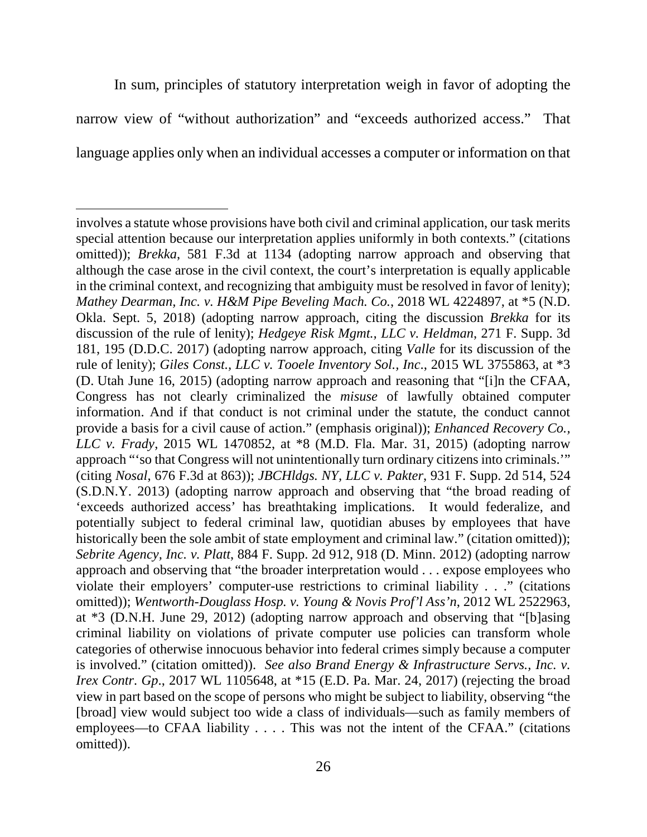In sum, principles of statutory interpretation weigh in favor of adopting the narrow view of "without authorization" and "exceeds authorized access." That language applies only when an individual accesses a computer or information on that

 $\overline{\phantom{a}}$ 

involves a statute whose provisions have both civil and criminal application, our task merits special attention because our interpretation applies uniformly in both contexts." (citations omitted)); *Brekka*, 581 F.3d at 1134 (adopting narrow approach and observing that although the case arose in the civil context, the court's interpretation is equally applicable in the criminal context, and recognizing that ambiguity must be resolved in favor of lenity); *Mathey Dearman, Inc. v. H&M Pipe Beveling Mach. Co.*, 2018 WL 4224897, at \*5 (N.D. Okla. Sept. 5, 2018) (adopting narrow approach, citing the discussion *Brekka* for its discussion of the rule of lenity); *Hedgeye Risk Mgmt., LLC v. Heldman*, 271 F. Supp. 3d 181, 195 (D.D.C. 2017) (adopting narrow approach, citing *Valle* for its discussion of the rule of lenity); *Giles Const., LLC v. Tooele Inventory Sol., Inc*., 2015 WL 3755863, at \*3 (D. Utah June 16, 2015) (adopting narrow approach and reasoning that "[i]n the CFAA, Congress has not clearly criminalized the *misuse* of lawfully obtained computer information. And if that conduct is not criminal under the statute, the conduct cannot provide a basis for a civil cause of action." (emphasis original)); *Enhanced Recovery Co., LLC v. Frady*, 2015 WL 1470852, at \*8 (M.D. Fla. Mar. 31, 2015) (adopting narrow approach "'so that Congress will not unintentionally turn ordinary citizens into criminals.'" (citing *Nosal*, 676 F.3d at 863)); *JBCHldgs. NY, LLC v. Pakter*, 931 F. Supp. 2d 514, 524 (S.D.N.Y. 2013) (adopting narrow approach and observing that "the broad reading of 'exceeds authorized access' has breathtaking implications. It would federalize, and potentially subject to federal criminal law, quotidian abuses by employees that have historically been the sole ambit of state employment and criminal law." (citation omitted)); *Sebrite Agency, Inc. v. Platt*, 884 F. Supp. 2d 912, 918 (D. Minn. 2012) (adopting narrow approach and observing that "the broader interpretation would . . . expose employees who violate their employers' computer-use restrictions to criminal liability . . ." (citations omitted)); *Wentworth-Douglass Hosp. v. Young & Novis Prof'l Ass'n*, 2012 WL 2522963, at \*3 (D.N.H. June 29, 2012) (adopting narrow approach and observing that "[b]asing criminal liability on violations of private computer use policies can transform whole categories of otherwise innocuous behavior into federal crimes simply because a computer is involved." (citation omitted)). *See also Brand Energy & Infrastructure Servs., Inc. v. Irex Contr. Gp.*, 2017 WL 1105648, at \*15 (E.D. Pa. Mar. 24, 2017) (rejecting the broad view in part based on the scope of persons who might be subject to liability, observing "the [broad] view would subject too wide a class of individuals—such as family members of employees—to CFAA liability . . . . This was not the intent of the CFAA." (citations omitted)).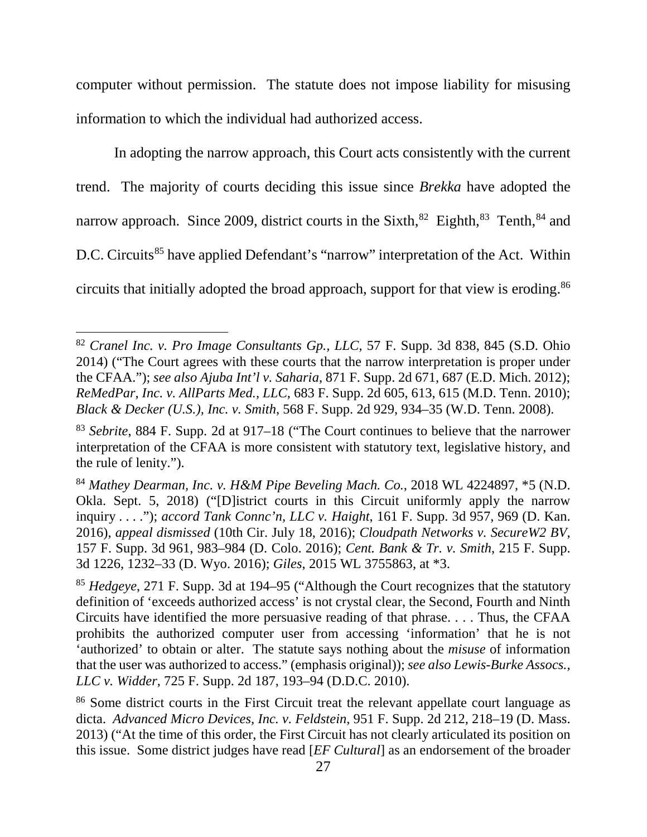computer without permission. The statute does not impose liability for misusing information to which the individual had authorized access.

In adopting the narrow approach, this Court acts consistently with the current trend. The majority of courts deciding this issue since *Brekka* have adopted the narrow approach. Since 2009, district courts in the Sixth,<sup>82</sup> Eighth,<sup>83</sup> Tenth,<sup>84</sup> and D.C. Circuits<sup>85</sup> have applied Defendant's "narrow" interpretation of the Act. Within circuits that initially adopted the broad approach, support for that view is eroding.86

<sup>82</sup> *Cranel Inc. v. Pro Image Consultants Gp., LLC*, 57 F. Supp. 3d 838, 845 (S.D. Ohio 2014) ("The Court agrees with these courts that the narrow interpretation is proper under the CFAA."); *see also Ajuba Int'l v. Saharia*, 871 F. Supp. 2d 671, 687 (E.D. Mich. 2012); *ReMedPar, Inc. v. AllParts Med., LLC*, 683 F. Supp. 2d 605, 613, 615 (M.D. Tenn. 2010); *Black & Decker (U.S.), Inc. v. Smith*, 568 F. Supp. 2d 929, 934–35 (W.D. Tenn. 2008).

<sup>83</sup> *Sebrite*, 884 F. Supp. 2d at 917–18 ("The Court continues to believe that the narrower interpretation of the CFAA is more consistent with statutory text, legislative history, and the rule of lenity.").

<sup>84</sup> *Mathey Dearman, Inc. v. H&M Pipe Beveling Mach. Co.*, 2018 WL 4224897, \*5 (N.D. Okla. Sept. 5, 2018) ("[D]istrict courts in this Circuit uniformly apply the narrow inquiry . . . ."); *accord Tank Connc'n, LLC v. Haight*, 161 F. Supp. 3d 957, 969 (D. Kan. 2016), *appeal dismissed* (10th Cir. July 18, 2016); *Cloudpath Networks v. SecureW2 BV*, 157 F. Supp. 3d 961, 983–984 (D. Colo. 2016); *Cent. Bank & Tr. v. Smith*, 215 F. Supp. 3d 1226, 1232–33 (D. Wyo. 2016); *Giles*, 2015 WL 3755863, at \*3.

<sup>85</sup> *Hedgeye*, 271 F. Supp. 3d at 194–95 ("Although the Court recognizes that the statutory definition of 'exceeds authorized access' is not crystal clear, the Second, Fourth and Ninth Circuits have identified the more persuasive reading of that phrase. . . . Thus, the CFAA prohibits the authorized computer user from accessing 'information' that he is not 'authorized' to obtain or alter. The statute says nothing about the *misuse* of information that the user was authorized to access." (emphasis original)); *see also Lewis-Burke Assocs., LLC v. Widder*, 725 F. Supp. 2d 187, 193–94 (D.D.C. 2010).

<sup>86</sup> Some district courts in the First Circuit treat the relevant appellate court language as dicta. *Advanced Micro Devices, Inc. v. Feldstein*, 951 F. Supp. 2d 212, 218–19 (D. Mass. 2013) ("At the time of this order, the First Circuit has not clearly articulated its position on this issue. Some district judges have read [*EF Cultural*] as an endorsement of the broader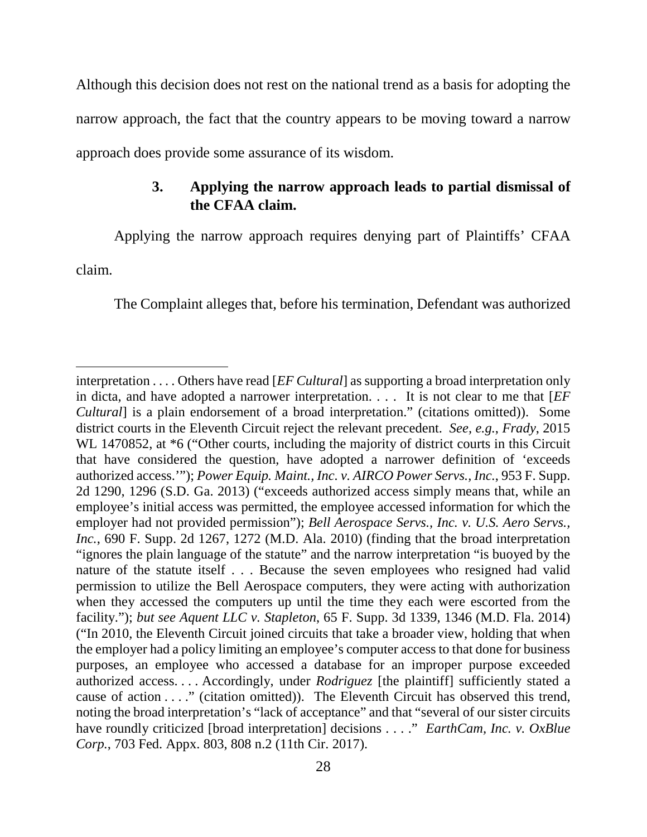Although this decision does not rest on the national trend as a basis for adopting the narrow approach, the fact that the country appears to be moving toward a narrow approach does provide some assurance of its wisdom.

# **3. Applying the narrow approach leads to partial dismissal of the CFAA claim.**

Applying the narrow approach requires denying part of Plaintiffs' CFAA

claim.

l

The Complaint alleges that, before his termination, Defendant was authorized

interpretation . . . . Others have read [*EF Cultural*] as supporting a broad interpretation only in dicta, and have adopted a narrower interpretation. . . . It is not clear to me that [*EF Cultural*] is a plain endorsement of a broad interpretation." (citations omitted)). Some district courts in the Eleventh Circuit reject the relevant precedent. *See, e.g.*, *Frady*, 2015 WL 1470852, at  $*6$  ("Other courts, including the majority of district courts in this Circuit that have considered the question, have adopted a narrower definition of 'exceeds authorized access.'"); *Power Equip. Maint., Inc. v. AIRCO Power Servs., Inc.*, 953 F. Supp. 2d 1290, 1296 (S.D. Ga. 2013) ("exceeds authorized access simply means that, while an employee's initial access was permitted, the employee accessed information for which the employer had not provided permission"); *Bell Aerospace Servs., Inc. v. U.S. Aero Servs., Inc.*, 690 F. Supp. 2d 1267, 1272 (M.D. Ala. 2010) (finding that the broad interpretation "ignores the plain language of the statute" and the narrow interpretation "is buoyed by the nature of the statute itself . . . Because the seven employees who resigned had valid permission to utilize the Bell Aerospace computers, they were acting with authorization when they accessed the computers up until the time they each were escorted from the facility."); *but see Aquent LLC v. Stapleton*, 65 F. Supp. 3d 1339, 1346 (M.D. Fla. 2014) ("In 2010, the Eleventh Circuit joined circuits that take a broader view, holding that when the employer had a policy limiting an employee's computer access to that done for business purposes, an employee who accessed a database for an improper purpose exceeded authorized access. . . . Accordingly, under *Rodriguez* [the plaintiff] sufficiently stated a cause of action . . . ." (citation omitted)). The Eleventh Circuit has observed this trend, noting the broad interpretation's "lack of acceptance" and that "several of our sister circuits have roundly criticized [broad interpretation] decisions . . . ." *EarthCam, Inc. v. OxBlue Corp.*, 703 Fed. Appx. 803, 808 n.2 (11th Cir. 2017).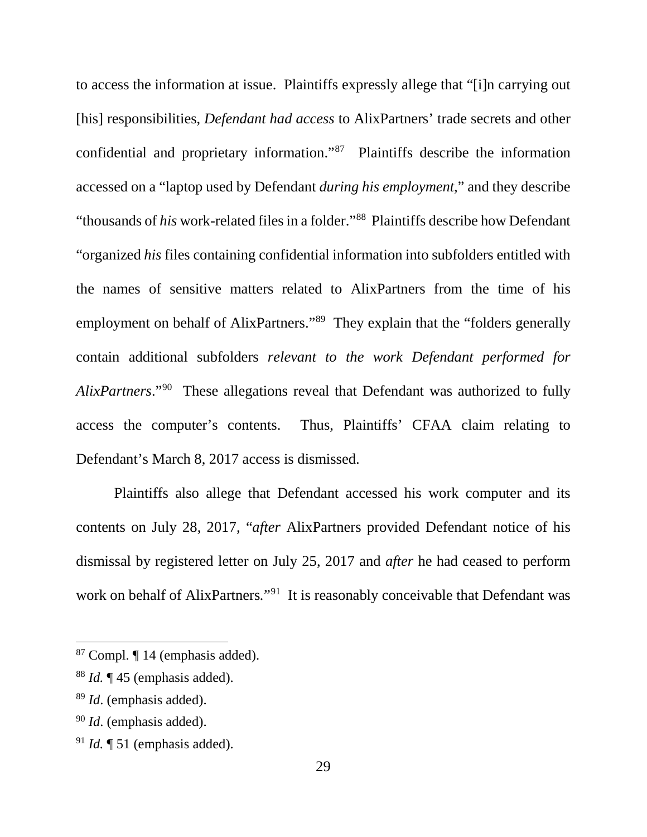to access the information at issue. Plaintiffs expressly allege that "[i]n carrying out [his] responsibilities, *Defendant had access* to AlixPartners' trade secrets and other confidential and proprietary information."87 Plaintiffs describe the information accessed on a "laptop used by Defendant *during his employment*," and they describe "thousands of *his* work-related files in a folder."88 Plaintiffs describe how Defendant "organized *his* files containing confidential information into subfolders entitled with the names of sensitive matters related to AlixPartners from the time of his employment on behalf of AlixPartners."<sup>89</sup> They explain that the "folders generally contain additional subfolders *relevant to the work Defendant performed for AlixPartners*."90 These allegations reveal that Defendant was authorized to fully access the computer's contents. Thus, Plaintiffs' CFAA claim relating to Defendant's March 8, 2017 access is dismissed.

Plaintiffs also allege that Defendant accessed his work computer and its contents on July 28, 2017, "*after* AlixPartners provided Defendant notice of his dismissal by registered letter on July 25, 2017 and *after* he had ceased to perform work on behalf of AlixPartners."<sup>91</sup> It is reasonably conceivable that Defendant was

<sup>87</sup> Compl. ¶ 14 (emphasis added).

<sup>88</sup> *Id.* ¶ 45 (emphasis added).

<sup>89</sup> *Id*. (emphasis added).

<sup>90</sup> *Id*. (emphasis added).

<sup>91</sup> *Id.* ¶ 51 (emphasis added).